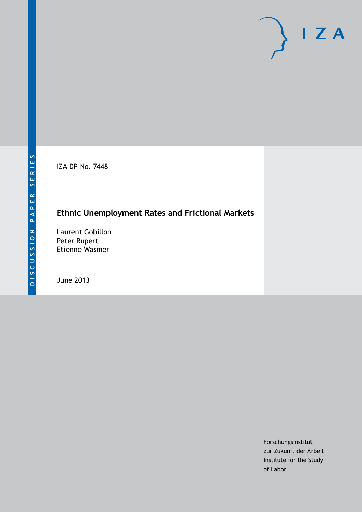IZA DP No. 7448

## **Ethnic Unemployment Rates and Frictional Markets**

Laurent Gobillon Peter Rupert Etienne Wasmer

June 2013

Forschungsinstitut zur Zukunft der Arbeit Institute for the Study of Labor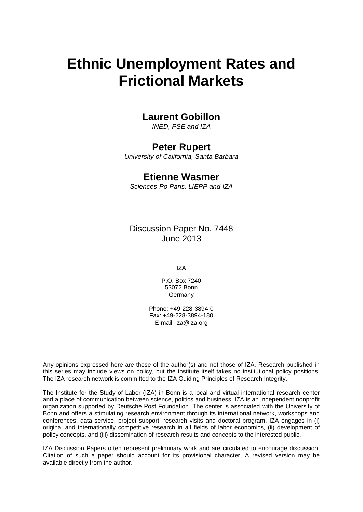# **Ethnic Unemployment Rates and Frictional Markets**

## **Laurent Gobillon**

*INED, PSE and IZA*

## **Peter Rupert**

*University of California, Santa Barbara*

## **Etienne Wasmer**

*Sciences-Po Paris, LIEPP and IZA*

Discussion Paper No. 7448 June 2013

IZA

P.O. Box 7240 53072 Bonn Germany

Phone: +49-228-3894-0 Fax: +49-228-3894-180 E-mail: [iza@iza.org](mailto:iza@iza.org)

Any opinions expressed here are those of the author(s) and not those of IZA. Research published in this series may include views on policy, but the institute itself takes no institutional policy positions. The IZA research network is committed to the IZA Guiding Principles of Research Integrity.

The Institute for the Study of Labor (IZA) in Bonn is a local and virtual international research center and a place of communication between science, politics and business. IZA is an independent nonprofit organization supported by Deutsche Post Foundation. The center is associated with the University of Bonn and offers a stimulating research environment through its international network, workshops and conferences, data service, project support, research visits and doctoral program. IZA engages in (i) original and internationally competitive research in all fields of labor economics, (ii) development of policy concepts, and (iii) dissemination of research results and concepts to the interested public.

<span id="page-1-0"></span>IZA Discussion Papers often represent preliminary work and are circulated to encourage discussion. Citation of such a paper should account for its provisional character. A revised version may be available directly from the author.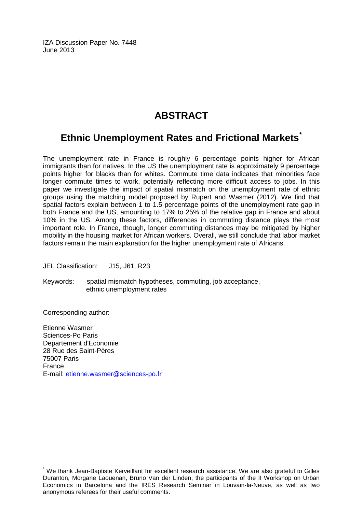IZA Discussion Paper No. 7448 June 2013

## **ABSTRACT**

## **Ethnic Unemployment Rates and Frictional Markets[\\*](#page-1-0)**

The unemployment rate in France is roughly 6 percentage points higher for African immigrants than for natives. In the US the unemployment rate is approximately 9 percentage points higher for blacks than for whites. Commute time data indicates that minorities face longer commute times to work, potentially reflecting more difficult access to jobs. In this paper we investigate the impact of spatial mismatch on the unemployment rate of ethnic groups using the matching model proposed by Rupert and Wasmer (2012). We find that spatial factors explain between 1 to 1.5 percentage points of the unemployment rate gap in both France and the US, amounting to 17% to 25% of the relative gap in France and about 10% in the US. Among these factors, differences in commuting distance plays the most important role. In France, though, longer commuting distances may be mitigated by higher mobility in the housing market for African workers. Overall, we still conclude that labor market factors remain the main explanation for the higher unemployment rate of Africans.

JEL Classification: J15, J61, R23

Keywords: spatial mismatch hypotheses, commuting, job acceptance, ethnic unemployment rates

Corresponding author:

Etienne Wasmer Sciences-Po Paris Departement d'Economie 28 Rue des Saint-Pères 75007 Paris France E-mail: [etienne.wasmer@sciences-po.fr](mailto:etienne.wasmer@sciences-po.fr)

We thank Jean-Baptiste Kerveillant for excellent research assistance. We are also grateful to Gilles Duranton, Morgane Laouenan, Bruno Van der Linden, the participants of the II Workshop on Urban Economics in Barcelona and the IRES Research Seminar in Louvain-la-Neuve, as well as two anonymous referees for their useful comments.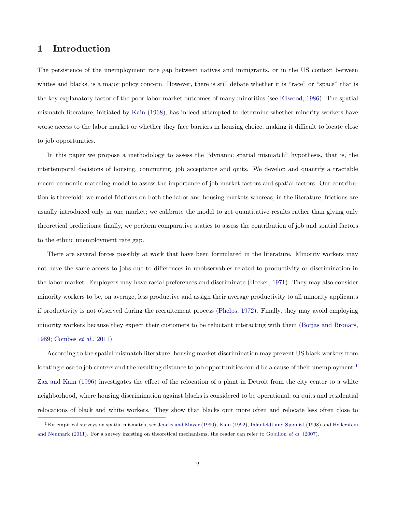### <span id="page-3-1"></span>1 Introduction

The persistence of the unemployment rate gap between natives and immigrants, or in the US context between whites and blacks, is a major policy concern. However, there is still debate whether it is "race" or "space" that is the key explanatory factor of the poor labor market outcomes of many minorities (see [Ellwood,](#page-32-0) [1986\)](#page-32-0). The spatial mismatch literature, initiated by [Kain](#page-33-0) [\(1968\)](#page-33-0), has indeed attempted to determine whether minority workers have worse access to the labor market or whether they face barriers in housing choice, making it difficult to locate close to job opportunities.

In this paper we propose a methodology to assess the "dynamic spatial mismatch" hypothesis, that is, the intertemporal decisions of housing, commuting, job acceptance and quits. We develop and quantify a tractable macro-economic matching model to assess the importance of job market factors and spatial factors. Our contribution is threefold: we model frictions on both the labor and housing markets whereas, in the literature, frictions are usually introduced only in one market; we calibrate the model to get quantitative results rather than giving only theoretical predictions; finally, we perform comparative statics to assess the contribution of job and spatial factors to the ethnic unemployment rate gap.

There are several forces possibly at work that have been formulated in the literature. Minority workers may not have the same access to jobs due to differences in unobservables related to productivity or discrimination in the labor market. Employers may have racial preferences and discriminate [\(Becker,](#page-32-1) [1971\)](#page-32-1). They may also consider minority workers to be, on average, less productive and assign their average productivity to all minority applicants if productivity is not observed during the recruitement process [\(Phelps,](#page-33-1) [1972\)](#page-33-1). Finally, they may avoid employing minority workers because they expect their customers to be reluctant interacting with them [\(Borjas and Bronars,](#page-32-2) [1989;](#page-32-2) [Combes](#page-32-3) *et al.*, [2011\)](#page-32-3).

According to the spatial mismatch literature, housing market discrimination may prevent US black workers from locating close to job centers and the resulting distance to job opportunities could be a cause of their unemployment.<sup>[1](#page-3-0)</sup> [Zax and Kain](#page-34-0) [\(1996\)](#page-34-0) investigates the effect of the relocation of a plant in Detroit from the city center to a white neighborhood, where housing discrimination against blacks is considered to be operational, on quits and residential relocations of black and white workers. They show that blacks quit more often and relocate less often close to

<span id="page-3-0"></span><sup>1</sup>For empirical surveys on spatial mismatch, see [Jencks and Mayer](#page-33-2) [\(1990\)](#page-33-2), [Kain](#page-33-3) [\(1992\)](#page-33-3), [Ihlanfeldt and Sjoquist](#page-33-4) [\(1998\)](#page-33-4) and [Hellerstein](#page-33-5) [and Neumark](#page-33-5) [\(2011\)](#page-33-5). For a survey insisting on theoretical mechanisms, the reader can refer to [Gobillon](#page-33-6) *et al.* [\(2007\)](#page-33-6).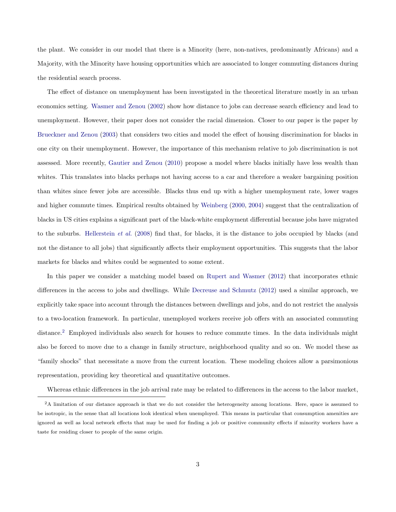the plant. We consider in our model that there is a Minority (here, non-natives, predominantly Africans) and a Majority, with the Minority have housing opportunities which are associated to longer commuting distances during the residential search process.

The effect of distance on unemployment has been investigated in the theoretical literature mostly in an urban economics setting. [Wasmer and Zenou](#page-34-1) [\(2002\)](#page-34-1) show how distance to jobs can decrease search efficiency and lead to unemployment. However, their paper does not consider the racial dimension. Closer to our paper is the paper by [Brueckner and Zenou](#page-32-4) [\(2003\)](#page-32-4) that considers two cities and model the effect of housing discrimination for blacks in one city on their unemployment. However, the importance of this mechanism relative to job discrimination is not assessed. More recently, [Gautier and Zenou](#page-32-5) [\(2010\)](#page-32-5) propose a model where blacks initially have less wealth than whites. This translates into blacks perhaps not having access to a car and therefore a weaker bargaining position than whites since fewer jobs are accessible. Blacks thus end up with a higher unemployment rate, lower wages and higher commute times. Empirical results obtained by [Weinberg](#page-34-2) [\(2000,](#page-34-2) [2004\)](#page-34-3) suggest that the centralization of blacks in US cities explains a significant part of the black-white employment differential because jobs have migrated to the suburbs. [Hellerstein](#page-33-7) *et al.* [\(2008\)](#page-33-7) find that, for blacks, it is the distance to jobs occupied by blacks (and not the distance to all jobs) that significantly affects their employment opportunities. This suggests that the labor markets for blacks and whites could be segmented to some extent.

In this paper we consider a matching model based on [Rupert and Wasmer](#page-33-8) [\(2012\)](#page-33-8) that incorporates ethnic differences in the access to jobs and dwellings. While [Decreuse and Schmutz](#page-32-6) [\(2012\)](#page-32-6) used a similar approach, we explicitly take space into account through the distances between dwellings and jobs, and do not restrict the analysis to a two-location framework. In particular, unemployed workers receive job offers with an associated commuting distance.[2](#page-4-0) Employed individuals also search for houses to reduce commute times. In the data individuals might also be forced to move due to a change in family structure, neighborhood quality and so on. We model these as "family shocks" that necessitate a move from the current location. These modeling choices allow a parsimonious representation, providing key theoretical and quantitative outcomes.

<span id="page-4-0"></span>Whereas ethnic differences in the job arrival rate may be related to differences in the access to the labor market,

<sup>&</sup>lt;sup>2</sup>A limitation of our distance approach is that we do not consider the heterogeneity among locations. Here, space is assumed to be isotropic, in the sense that all locations look identical when unemployed. This means in particular that consumption amenities are ignored as well as local network effects that may be used for finding a job or positive community effects if minority workers have a taste for residing closer to people of the same origin.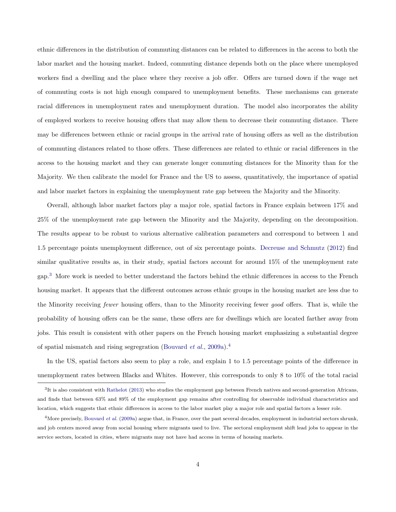ethnic differences in the distribution of commuting distances can be related to differences in the access to both the labor market and the housing market. Indeed, commuting distance depends both on the place where unemployed workers find a dwelling and the place where they receive a job offer. Offers are turned down if the wage net of commuting costs is not high enough compared to unemployment benefits. These mechanisms can generate racial differences in unemployment rates and unemployment duration. The model also incorporates the ability of employed workers to receive housing offers that may allow them to decrease their commuting distance. There may be differences between ethnic or racial groups in the arrival rate of housing offers as well as the distribution of commuting distances related to those offers. These differences are related to ethnic or racial differences in the access to the housing market and they can generate longer commuting distances for the Minority than for the Majority. We then calibrate the model for France and the US to assess, quantitatively, the importance of spatial and labor market factors in explaining the unemployment rate gap between the Majority and the Minority.

Overall, although labor market factors play a major role, spatial factors in France explain between 17% and 25% of the unemployment rate gap between the Minority and the Majority, depending on the decomposition. The results appear to be robust to various alternative calibration parameters and correspond to between 1 and 1.5 percentage points unemployment difference, out of six percentage points. [Decreuse and Schmutz](#page-32-6) [\(2012\)](#page-32-6) find similar qualitative results as, in their study, spatial factors account for around 15% of the unemployment rate gap.[3](#page-5-0) More work is needed to better understand the factors behind the ethnic differences in access to the French housing market. It appears that the different outcomes across ethnic groups in the housing market are less due to the Minority receiving *fewer* housing offers, than to the Minority receiving fewer *good* offers. That is, while the probability of housing offers can be the same, these offers are for dwellings which are located farther away from jobs. This result is consistent with other papers on the French housing market emphasizing a substantial degree of spatial mismatch and rising segregration [\(Bouvard](#page-32-7) *et al.*, [2009a\)](#page-32-7).[4](#page-5-1)

In the US, spatial factors also seem to play a role, and explain 1 to 1.5 percentage points of the difference in unemployment rates between Blacks and Whites. However, this corresponds to only 8 to 10% of the total racial

<span id="page-5-0"></span><sup>3</sup>It is also consistent with [Rathelot](#page-33-9) [\(2013\)](#page-33-9) who studies the employment gap between French natives and second-generation Africans, and finds that between 63% and 89% of the employment gap remains after controlling for observable individual characteristics and location, which suggests that ethnic differences in access to the labor market play a major role and spatial factors a lesser role.

<span id="page-5-1"></span><sup>&</sup>lt;sup>4</sup>More precisely, [Bouvard](#page-32-7) *et al.* [\(2009a\)](#page-32-7) argue that, in France, over the past several decades, employment in industrial sectors shrunk, and job centers moved away from social housing where migrants used to live. The sectoral employment shift lead jobs to appear in the service sectors, located in cities, where migrants may not have had access in terms of housing markets.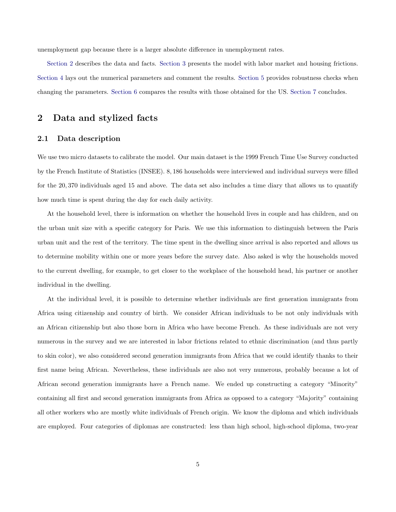unemployment gap because there is a larger absolute difference in unemployment rates.

[Section 2](#page-6-0) describes the data and facts. [Section 3](#page-12-0) presents the model with labor market and housing frictions. [Section 4](#page-18-0) lays out the numerical parameters and comment the results. [Section 5](#page-24-0) provides robustness checks when changing the parameters. [Section 6](#page-28-0) compares the results with those obtained for the US. [Section 7](#page-30-0) concludes.

## <span id="page-6-0"></span>2 Data and stylized facts

#### <span id="page-6-1"></span>2.1 Data description

We use two micro datasets to calibrate the model. Our main dataset is the 1999 French Time Use Survey conducted by the French Institute of Statistics (INSEE). 8, 186 households were interviewed and individual surveys were filled for the 20, 370 individuals aged 15 and above. The data set also includes a time diary that allows us to quantify how much time is spent during the day for each daily activity.

At the household level, there is information on whether the household lives in couple and has children, and on the urban unit size with a specific category for Paris. We use this information to distinguish between the Paris urban unit and the rest of the territory. The time spent in the dwelling since arrival is also reported and allows us to determine mobility within one or more years before the survey date. Also asked is why the households moved to the current dwelling, for example, to get closer to the workplace of the household head, his partner or another individual in the dwelling.

At the individual level, it is possible to determine whether individuals are first generation immigrants from Africa using citizenship and country of birth. We consider African individuals to be not only individuals with an African citizenship but also those born in Africa who have become French. As these individuals are not very numerous in the survey and we are interested in labor frictions related to ethnic discrimination (and thus partly to skin color), we also considered second generation immigrants from Africa that we could identify thanks to their first name being African. Nevertheless, these individuals are also not very numerous, probably because a lot of African second generation immigrants have a French name. We ended up constructing a category "Minority" containing all first and second generation immigrants from Africa as opposed to a category "Majority" containing all other workers who are mostly white individuals of French origin. We know the diploma and which individuals are employed. Four categories of diplomas are constructed: less than high school, high-school diploma, two-year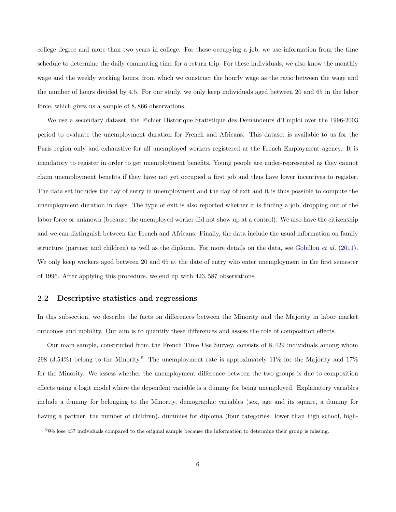college degree and more than two years in college. For those occupying a job, we use information from the time schedule to determine the daily commuting time for a return trip. For these individuals, we also know the monthly wage and the weekly working hours, from which we construct the hourly wage as the ratio between the wage and the number of hours divided by 4.5. For our study, we only keep individuals aged between 20 and 65 in the labor force, which gives us a sample of 8, 866 observations.

We use a secondary dataset, the Fichier Historique Statistique des Demandeurs d'Emploi over the 1996-2003 period to evaluate the unemployment duration for French and Africans. This dataset is available to us for the Paris region only and exhaustive for all unemployed workers registered at the French Employment agency. It is mandatory to register in order to get unemployment benefits. Young people are under-represented as they cannot claim unemployment benefits if they have not yet occupied a first job and thus have lower incentives to register. The data set includes the day of entry in unemployment and the day of exit and it is thus possible to compute the unemployment duration in days. The type of exit is also reported whether it is finding a job, dropping out of the labor force or unknown (because the unemployed worker did not show up at a control). We also have the citizenship and we can distinguish between the French and Africans. Finally, the data include the usual information on family structure (partner and children) as well as the diploma. For more details on the data, see [Gobillon](#page-33-10) *et al.* [\(2011\)](#page-33-10). We only keep workers aged between 20 and 65 at the date of entry who enter unemployment in the first semester of 1996. After applying this procedure, we end up with 423, 587 observations.

#### <span id="page-7-1"></span>2.2 Descriptive statistics and regressions

In this subsection, we describe the facts on differences between the Minority and the Majority in labor market outcomes and mobility. Our aim is to quantify these differences and assess the role of composition effects.

Our main sample, constructed from the French Time Use Survey, consists of 8, 429 individuals among whom 298 (3.[5](#page-7-0)4%) belong to the Minority.<sup>5</sup> The unemployment rate is approximately 11% for the Majority and 17% for the Minority. We assess whether the unemployment difference between the two groups is due to composition effects using a logit model where the dependent variable is a dummy for being unemployed. Explanatory variables include a dummy for belonging to the Minority, demographic variables (sex, age and its square, a dummy for having a partner, the number of children), dummies for diploma (four categories: lower than high school, high-

<span id="page-7-0"></span><sup>5</sup>We lose 437 individuals compared to the original sample because the information to determine their group is missing.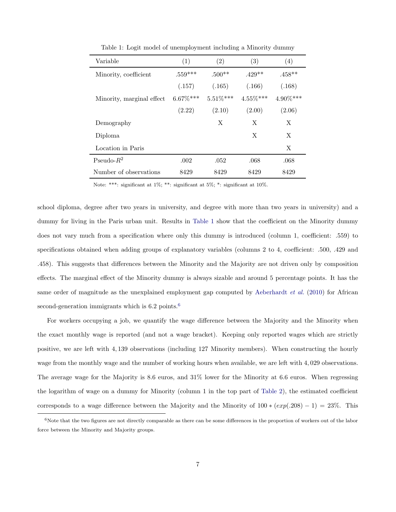| Variable                  | (1)         | (2)         | (3)         | (4)      |
|---------------------------|-------------|-------------|-------------|----------|
| Minority, coefficient     | $.559***$   | $.500**$    | $.429**$    | $.458**$ |
|                           | (.157)      | (.165)      | (.166)      | (.168)   |
| Minority, marginal effect | $6.67\%***$ | $5.51\%***$ | $4.55\%***$ | 4.90%*** |
|                           | (2.22)      | (2.10)      | (2.00)      | (2.06)   |
| Demography                |             | X           | X           | X        |
| Diploma                   |             |             | X           | X        |
| Location in Paris         |             |             |             | X        |
| Pseudo- $R^2$             | .002        | .052        | .068        | .068     |
| Number of observations    | 8429        | 8429        | 8429        | 8429     |

<span id="page-8-0"></span>Table 1: Logit model of unemployment including a Minority dummy

Note: \*\*\*: significant at 1%; \*\*: significant at 5%; \*: significant at 10%.

school diploma, degree after two years in university, and degree with more than two years in university) and a dummy for living in the Paris urban unit. Results in [Table 1](#page-8-0) show that the coefficient on the Minority dummy does not vary much from a specification where only this dummy is introduced (column 1, coefficient: .559) to specifications obtained when adding groups of explanatory variables (columns 2 to 4, coefficient: .500, .429 and .458). This suggests that differences between the Minority and the Majority are not driven only by composition effects. The marginal effect of the Minority dummy is always sizable and around 5 percentage points. It has the same order of magnitude as the unexplained employment gap computed by [Aeberhardt](#page-32-8) *et al.* [\(2010\)](#page-32-8) for African second-generation immigrants which is  $6.2$  $6.2$  points.<sup>6</sup>

For workers occupying a job, we quantify the wage difference between the Majority and the Minority when the exact monthly wage is reported (and not a wage bracket). Keeping only reported wages which are strictly positive, we are left with 4, 139 observations (including 127 Minority members). When constructing the hourly wage from the monthly wage and the number of working hours when available, we are left with 4, 029 observations. The average wage for the Majority is 8.6 euros, and 31% lower for the Minority at 6.6 euros. When regressing the logarithm of wage on a dummy for Minority (column 1 in the top part of [Table 2\)](#page-9-0), the estimated coefficient corresponds to a wage difference between the Majority and the Minority of  $100 * (exp(.208) - 1) = 23%$ . This

<span id="page-8-1"></span> $6$ Note that the two figures are not directly comparable as there can be some differences in the proportion of workers out of the labor force between the Minority and Majority groups.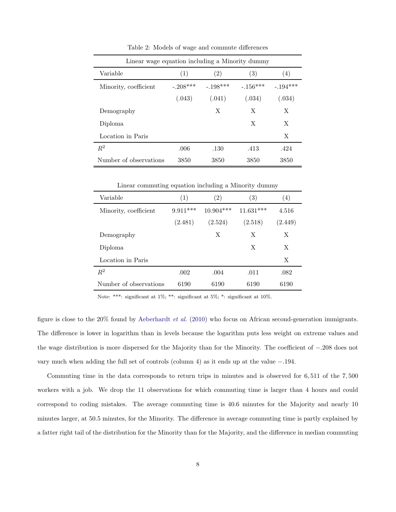| Linear wage equation including a Minority dummy |            |                   |            |            |  |  |  |  |  |
|-------------------------------------------------|------------|-------------------|------------|------------|--|--|--|--|--|
| Variable                                        | (1)        | $\left( 2\right)$ | (3)        | (4)        |  |  |  |  |  |
| Minority, coefficient                           | $-.208***$ | $-.198***$        | $-.156***$ | $-.194***$ |  |  |  |  |  |
|                                                 | (.043)     | (.041)            | (.034)     | (.034)     |  |  |  |  |  |
| Demography                                      |            | Х                 | X          | X          |  |  |  |  |  |
| Diploma                                         |            |                   | X          | X          |  |  |  |  |  |
| Location in Paris                               |            |                   |            | X          |  |  |  |  |  |
| $R^2$                                           | .006       | .130              | .413       | .424       |  |  |  |  |  |
| Number of observations                          | 3850       | 3850              | 3850       | 3850       |  |  |  |  |  |

<span id="page-9-0"></span>Table 2: Models of wage and commute differences

Linear commuting equation including a Minority dummy

| Variable               | (1)        | $\left( 2\right)$ | (3)         | $\left( 4\right)$ |
|------------------------|------------|-------------------|-------------|-------------------|
| Minority, coefficient  | $9.911***$ | $10.904***$       | $11.631***$ | 4.516             |
|                        | (2.481)    | (2.524)           | (2.518)     | (2.449)           |
| Demography             |            | X                 | X           | X                 |
| Diploma                |            |                   | X           | X                 |
| Location in Paris      |            |                   |             | X                 |
| $R^2$                  | .002       | .004              | .011        | .082              |
| Number of observations | 6190       | 6190              | 6190        | 6190              |

Note: \*\*\*: significant at 1%; \*\*: significant at 5%; \*: significant at 10%.

figure is close to the 20% found by [Aeberhardt](#page-32-8) *et al.* [\(2010\)](#page-32-8) who focus on African second-generation immigrants. The difference is lower in logarithm than in levels because the logarithm puts less weight on extreme values and the wage distribution is more dispersed for the Majority than for the Minority. The coefficient of −.208 does not vary much when adding the full set of controls (column 4) as it ends up at the value −.194.

Commuting time in the data corresponds to return trips in minutes and is observed for 6, 511 of the 7, 500 workers with a job. We drop the 11 observations for which commuting time is larger than 4 hours and could correspond to coding mistakes. The average commuting time is 40.6 minutes for the Majority and nearly 10 minutes larger, at 50.5 minutes, for the Minority. The difference in average commuting time is partly explained by a fatter right tail of the distribution for the Minority than for the Majority, and the difference in median commuting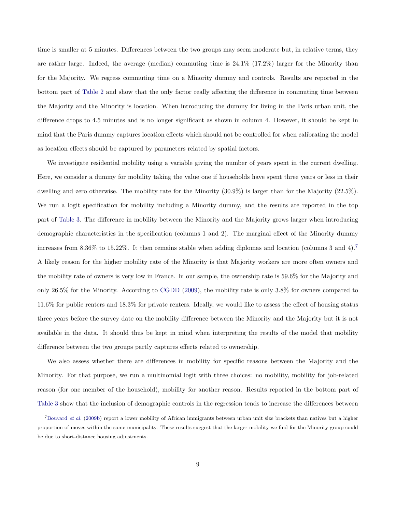time is smaller at 5 minutes. Differences between the two groups may seem moderate but, in relative terms, they are rather large. Indeed, the average (median) commuting time is 24.1% (17.2%) larger for the Minority than for the Majority. We regress commuting time on a Minority dummy and controls. Results are reported in the bottom part of [Table 2](#page-9-0) and show that the only factor really affecting the difference in commuting time between the Majority and the Minority is location. When introducing the dummy for living in the Paris urban unit, the difference drops to 4.5 minutes and is no longer significant as shown in column 4. However, it should be kept in mind that the Paris dummy captures location effects which should not be controlled for when calibrating the model as location effects should be captured by parameters related by spatial factors.

We investigate residential mobility using a variable giving the number of years spent in the current dwelling. Here, we consider a dummy for mobility taking the value one if households have spent three years or less in their dwelling and zero otherwise. The mobility rate for the Minority (30.9%) is larger than for the Majority (22.5%). We run a logit specification for mobility including a Minority dummy, and the results are reported in the top part of [Table 3.](#page-11-0) The difference in mobility between the Minority and the Majority grows larger when introducing demographic characteristics in the specification (columns 1 and 2). The marginal effect of the Minority dummy increases from 8.36% to 15.22%. It then remains stable when adding diplomas and location (columns 3 and 4).[7](#page-10-0) A likely reason for the higher mobility rate of the Minority is that Majority workers are more often owners and the mobility rate of owners is very low in France. In our sample, the ownership rate is 59.6% for the Majority and only 26.5% for the Minority. According to [CGDD](#page-32-9) [\(2009\)](#page-32-9), the mobility rate is only 3.8% for owners compared to 11.6% for public renters and 18.3% for private renters. Ideally, we would like to assess the effect of housing status three years before the survey date on the mobility difference between the Minority and the Majority but it is not available in the data. It should thus be kept in mind when interpreting the results of the model that mobility difference between the two groups partly captures effects related to ownership.

We also assess whether there are differences in mobility for specific reasons between the Majority and the Minority. For that purpose, we run a multinomial logit with three choices: no mobility, mobility for job-related reason (for one member of the household), mobility for another reason. Results reported in the bottom part of [Table 3](#page-11-0) show that the inclusion of demographic controls in the regression tends to increase the differences between

<span id="page-10-0"></span><sup>7</sup>[Bouvard](#page-32-10) *et al.* [\(2009b\)](#page-32-10) report a lower mobility of African immigrants between urban unit size brackets than natives but a higher proportion of moves within the same municipality. These results suggest that the larger mobility we find for the Minority group could be due to short-distance housing adjustments.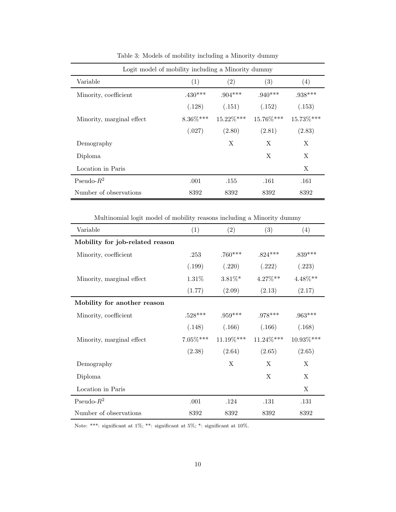| Logit model of mobility including a Minority dummy |             |           |           |           |  |  |  |  |
|----------------------------------------------------|-------------|-----------|-----------|-----------|--|--|--|--|
| Variable                                           | (1)         | (2)       | (3)       | (4)       |  |  |  |  |
| Minority, coefficient                              | $.430***$   | $.904***$ | $.940***$ | $.938***$ |  |  |  |  |
|                                                    | (.128)      | (.151)    | (.152)    | (.153)    |  |  |  |  |
| Minority, marginal effect                          | $8.36\%***$ | 15.22%*** | 15.76%*** | 15.73%*** |  |  |  |  |
|                                                    | (.027)      | (2.80)    | (2.81)    | (2.83)    |  |  |  |  |
| Demography                                         |             | X         | X         | X         |  |  |  |  |
| Diploma                                            |             |           | X         | X         |  |  |  |  |
| Location in Paris                                  |             |           |           | X         |  |  |  |  |
| Pseudo- $R^2$                                      | .001        | .155      | .161      | .161      |  |  |  |  |
| Number of observations                             | 8392        | 8392      | 8392      | 8392      |  |  |  |  |

<span id="page-11-0"></span>Table 3: Models of mobility including a Minority dummy

Multinomial logit model of mobility reasons including a Minority dummy

| Variable                        | (1)         | (2)       | (3)          | (4)        |
|---------------------------------|-------------|-----------|--------------|------------|
| Mobility for job-related reason |             |           |              |            |
| Minority, coefficient           | .253        | $.760***$ | $.824***$    | $.839***$  |
|                                 | (.199)      | (.220)    | (.222)       | (.223)     |
| Minority, marginal effect       | $1.31\%$    | $3.81\%*$ | $4.27\%**$   | $4.48\%**$ |
|                                 | (1.77)      | (2.09)    | (2.13)       | (2.17)     |
| Mobility for another reason     |             |           |              |            |
| Minority, coefficient           | $.528***$   | $.959***$ | $.978***$    | $.963***$  |
|                                 | (.148)      | (.166)    | (.166)       | (.168)     |
| Minority, marginal effect       | $7.05\%***$ | 11.19%*** | $11.24\%***$ | 10.93%***  |
|                                 | (2.38)      | (2.64)    | (2.65)       | (2.65)     |
| Demography                      |             | X         | X            | X          |
| Diploma                         |             |           | X            | X          |
| Location in Paris               |             |           |              | X          |
| Pseudo- $R^2$                   | .001        | .124      | .131         | .131       |
| Number of observations          | 8392        | 8392      | 8392         | 8392       |

Note: \*\*\*: significant at 1%; \*\*: significant at 5%; \*: significant at 10%.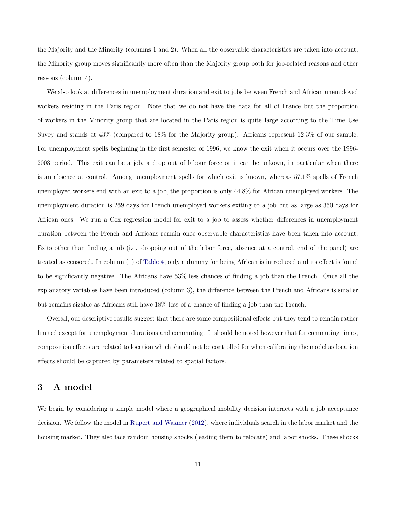the Majority and the Minority (columns 1 and 2). When all the observable characteristics are taken into account, the Minority group moves significantly more often than the Majority group both for job-related reasons and other reasons (column 4).

We also look at differences in unemployment duration and exit to jobs between French and African unemployed workers residing in the Paris region. Note that we do not have the data for all of France but the proportion of workers in the Minority group that are located in the Paris region is quite large according to the Time Use Suvey and stands at 43% (compared to 18% for the Majority group). Africans represent 12.3% of our sample. For unemployment spells beginning in the first semester of 1996, we know the exit when it occurs over the 1996- 2003 period. This exit can be a job, a drop out of labour force or it can be unkown, in particular when there is an absence at control. Among unemployment spells for which exit is known, whereas 57.1% spells of French unemployed workers end with an exit to a job, the proportion is only 44.8% for African unemployed workers. The unemployment duration is 269 days for French unemployed workers exiting to a job but as large as 350 days for African ones. We run a Cox regression model for exit to a job to assess whether differences in unemployment duration between the French and Africans remain once observable characteristics have been taken into account. Exits other than finding a job (i.e. dropping out of the labor force, absence at a control, end of the panel) are treated as censored. In column (1) of [Table 4,](#page-13-0) only a dummy for being African is introduced and its effect is found to be significantly negative. The Africans have 53% less chances of finding a job than the French. Once all the explanatory variables have been introduced (column 3), the difference between the French and Africans is smaller but remains sizable as Africans still have 18% less of a chance of finding a job than the French.

Overall, our descriptive results suggest that there are some compositional effects but they tend to remain rather limited except for unemployment durations and commuting. It should be noted however that for commuting times, composition effects are related to location which should not be controlled for when calibrating the model as location effects should be captured by parameters related to spatial factors.

### <span id="page-12-0"></span>3 A model

We begin by considering a simple model where a geographical mobility decision interacts with a job acceptance decision. We follow the model in [Rupert and Wasmer](#page-33-8) [\(2012\)](#page-33-8), where individuals search in the labor market and the housing market. They also face random housing shocks (leading them to relocate) and labor shocks. These shocks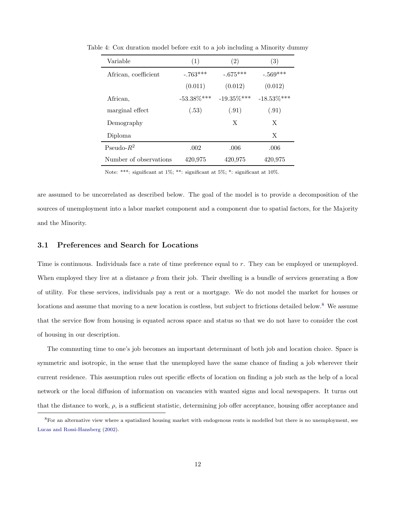<span id="page-13-0"></span>

| Variable               | (1)            | $\left( 2\right)$ | (3)            |
|------------------------|----------------|-------------------|----------------|
| African, coefficient   | $-.763***$     | $-.675***$        | $-.569***$     |
|                        | (0.011)        | (0.012)           | (0.012)        |
| African.               | $-53.38\%$ *** | $-19.35\%$ ***    | $-18.53\%$ *** |
| marginal effect        | (.53)          | (.91)             | (.91)          |
| Demography             |                | X                 | X              |
| Diploma                |                |                   | X              |
| Pseudo- $R^2$          | .002           | .006              | .006           |
| Number of observations | 420,975        | 420,975           | 420,975        |

Table 4: Cox duration model before exit to a job including a Minority dummy

Note: \*\*\*: significant at 1%; \*\*: significant at 5%; \*: significant at 10%.

are assumed to be uncorrelated as described below. The goal of the model is to provide a decomposition of the sources of unemployment into a labor market component and a component due to spatial factors, for the Majority and the Minority.

#### 3.1 Preferences and Search for Locations

Time is continuous. Individuals face a rate of time preference equal to r. They can be employed or unemployed. When employed they live at a distance  $\rho$  from their job. Their dwelling is a bundle of services generating a flow of utility. For these services, individuals pay a rent or a mortgage. We do not model the market for houses or locations and assume that moving to a new location is costless, but subject to frictions detailed below.<sup>[8](#page-13-1)</sup> We assume that the service flow from housing is equated across space and status so that we do not have to consider the cost of housing in our description.

The commuting time to one's job becomes an important determinant of both job and location choice. Space is symmetric and isotropic, in the sense that the unemployed have the same chance of finding a job wherever their current residence. This assumption rules out specific effects of location on finding a job such as the help of a local network or the local diffusion of information on vacancies with wanted signs and local newspapers. It turns out that the distance to work,  $\rho$ , is a sufficient statistic, determining job offer acceptance, housing offer acceptance and

<span id="page-13-1"></span><sup>&</sup>lt;sup>8</sup>For an alternative view where a spatialized housing market with endogenous rents is modelled but there is no unemployment, see [Lucas and Rossi-Hansberg](#page-33-11) [\(2002\)](#page-33-11).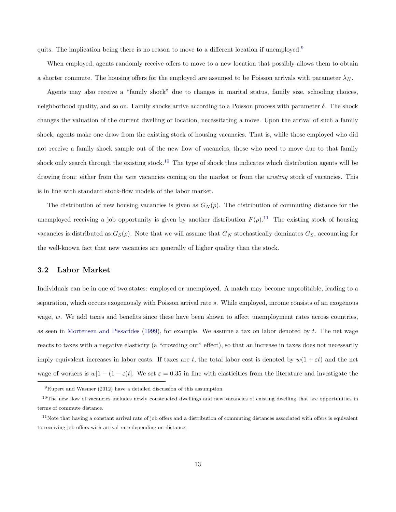quits. The implication being there is no reason to move to a different location if unemployed.<sup>[9](#page-14-0)</sup>

When employed, agents randomly receive offers to move to a new location that possibly allows them to obtain a shorter commute. The housing offers for the employed are assumed to be Poisson arrivals with parameter  $\lambda_H$ .

Agents may also receive a "family shock" due to changes in marital status, family size, schooling choices, neighborhood quality, and so on. Family shocks arrive according to a Poisson process with parameter  $\delta$ . The shock changes the valuation of the current dwelling or location, necessitating a move. Upon the arrival of such a family shock, agents make one draw from the existing stock of housing vacancies. That is, while those employed who did not receive a family shock sample out of the new flow of vacancies, those who need to move due to that family shock only search through the existing stock.<sup>[10](#page-14-1)</sup> The type of shock thus indicates which distribution agents will be drawing from: either from the *new* vacancies coming on the market or from the *existing* stock of vacancies. This is in line with standard stock-flow models of the labor market.

The distribution of new housing vacancies is given as  $G_N(\rho)$ . The distribution of commuting distance for the unemployed receiving a job opportunity is given by another distribution  $F(\rho)$ .<sup>[11](#page-14-2)</sup> The existing stock of housing vacancies is distributed as  $G_S(\rho)$ . Note that we will assume that  $G_N$  stochastically dominates  $G_S$ , accounting for the well-known fact that new vacancies are generally of higher quality than the stock.

#### <span id="page-14-3"></span>3.2 Labor Market

Individuals can be in one of two states: employed or unemployed. A match may become unprofitable, leading to a separation, which occurs exogenously with Poisson arrival rate s. While employed, income consists of an exogenous wage, w. We add taxes and benefits since these have been shown to affect unemployment rates across countries, as seen in [Mortensen and Pissarides](#page-33-12) [\(1999\)](#page-33-12), for example. We assume a tax on labor denoted by  $t$ . The net wage reacts to taxes with a negative elasticity (a "crowding out" effect), so that an increase in taxes does not necessarily imply equivalent increases in labor costs. If taxes are t, the total labor cost is denoted by  $w(1 + \varepsilon t)$  and the net wage of workers is  $w[1-(1-\varepsilon)t]$ . We set  $\varepsilon=0.35$  in line with elasticities from the literature and investigate the

<span id="page-14-1"></span><span id="page-14-0"></span><sup>9</sup>Rupert and Wasmer (2012) have a detailed discussion of this assumption.

 $10$ The new flow of vacancies includes newly constructed dwellings and new vacancies of existing dwelling that are opportunities in terms of commute distance.

<span id="page-14-2"></span> $11$ Note that having a constant arrival rate of job offers and a distribution of commuting distances associated with offers is equivalent to receiving job offers with arrival rate depending on distance.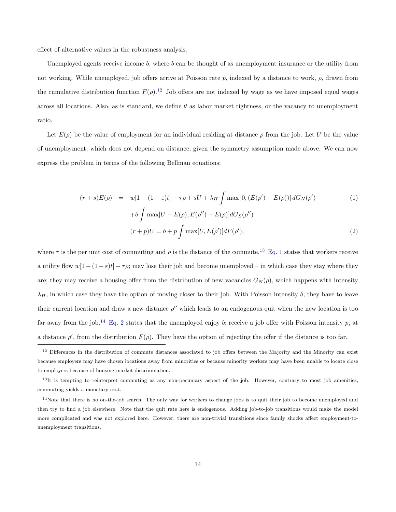effect of alternative values in the robustness analysis.

Unemployed agents receive income  $b$ , where  $b$  can be thought of as unemployment insurance or the utility from not working. While unemployed, job offers arrive at Poisson rate  $p$ , indexed by a distance to work,  $\rho$ , drawn from the cumulative distribution function  $F(\rho)$ .<sup>[12](#page-15-0)</sup> Job offers are not indexed by wage as we have imposed equal wages across all locations. Also, as is standard, we define  $\theta$  as labor market tightness, or the vacancy to unemployment ratio.

Let  $E(\rho)$  be the value of employment for an individual residing at distance  $\rho$  from the job. Let U be the value of unemployment, which does not depend on distance, given the symmetry assumption made above. We can now express the problem in terms of the following Bellman equations:

<span id="page-15-2"></span>
$$
(r+s)E(\rho) = w[1 - (1 - \varepsilon)t] - \tau \rho + sU + \lambda_H \int \max[0, (E(\rho') - E(\rho))] dG_N(\rho')
$$
  
+  $\delta \int \max[U - E(\rho), E(\rho'') - E(\rho)] dG_S(\rho'')$   

$$
(r+p)U = b + p \int \max[U, E(\rho')] dF(\rho'),
$$
 (2)

where  $\tau$  is the per unit cost of commuting and  $\rho$  is the distance of the commute.<sup>[13](#page-15-1)</sup> [Eq. 1](#page-15-2) states that workers receive a utility flow  $w[1-(1-\varepsilon)t]-\tau\rho$ ; may lose their job and become unemployed – in which case they stay where they are; they may receive a housing offer from the distribution of new vacancies  $G_N(\rho)$ , which happens with intensity  $\lambda_H$ , in which case they have the option of moving closer to their job. With Poisson intensity  $\delta$ , they have to leave their current location and draw a new distance  $\rho''$  which leads to an endogenous quit when the new location is too far away from the job.<sup>[14](#page-15-3)</sup> [Eq. 2](#page-15-2) states that the unemployed enjoy b; receive a job offer with Poisson intensity p, at a distance  $\rho'$ , from the distribution  $F(\rho)$ . They have the option of rejecting the offer if the distance is too far.

<span id="page-15-0"></span> $12$  Differences in the distribution of commute distances associated to job offers between the Majority and the Minority can exist because employers may have chosen locations away from minorities or because minority workers may have been unable to locate close to employers because of housing market discrimination.

<span id="page-15-1"></span> $13$ It is tempting to reinterpret commuting as any non-pecuniary aspect of the job. However, contrary to most job amenities, commuting yields a monetary cost.

<span id="page-15-3"></span> $14$ Note that there is no on-the-job search. The only way for workers to change jobs is to quit their job to become unemployed and then try to find a job elsewhere. Note that the quit rate here is endogenous. Adding job-to-job transitions would make the model more complicated and was not explored here. However, there are non-trivial transitions since family shocks affect employment-tounemployment transitions.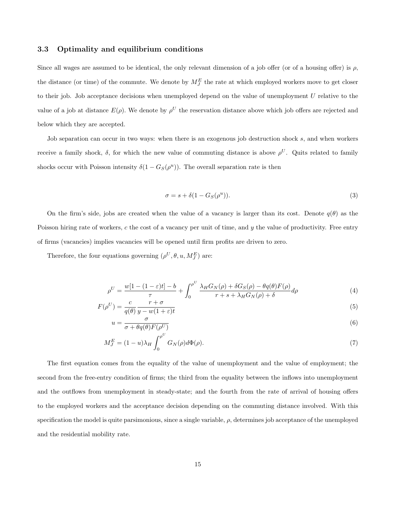#### 3.3 Optimality and equilibrium conditions

Since all wages are assumed to be identical, the only relevant dimension of a job offer (or of a housing offer) is  $\rho$ , the distance (or time) of the commute. We denote by  $M_J^E$  the rate at which employed workers move to get closer to their job. Job acceptance decisions when unemployed depend on the value of unemployment U relative to the value of a job at distance  $E(\rho)$ . We denote by  $\rho^U$  the reservation distance above which job offers are rejected and below which they are accepted.

Job separation can occur in two ways: when there is an exogenous job destruction shock s, and when workers receive a family shock,  $\delta$ , for which the new value of commuting distance is above  $\rho^U$ . Quits related to family shocks occur with Poisson intensity  $\delta(1-G_S(\rho^u))$ . The overall separation rate is then

<span id="page-16-3"></span><span id="page-16-2"></span><span id="page-16-1"></span><span id="page-16-0"></span>
$$
\sigma = s + \delta(1 - G_S(\rho^u)).
$$
\n(3)

On the firm's side, jobs are created when the value of a vacancy is larger than its cost. Denote  $q(\theta)$  as the Poisson hiring rate of workers,  $c$  the cost of a vacancy per unit of time, and  $y$  the value of productivity. Free entry of firms (vacancies) implies vacancies will be opened until firm profits are driven to zero.

Therefore, the four equations governing  $(\rho^U, \theta, u, M_J^E)$  are:

$$
\rho^U = \frac{w[1 - (1 - \varepsilon)t] - b}{\tau} + \int_0^{\rho^U} \frac{\lambda_H G_N(\rho) + \delta G_S(\rho) - \theta q(\theta) F(\rho)}{r + s + \lambda_H G_N(\rho) + \delta} d\rho \tag{4}
$$

$$
F(\rho^U) = \frac{c}{q(\theta)} \frac{r+\sigma}{y-w(1+\varepsilon)t}
$$
\n(5)

$$
u = \frac{\sigma}{\sigma + \theta q(\theta) F(\rho^U)}\tag{6}
$$

$$
M_J^E = (1 - u)\lambda_H \int_0^{\rho^U} G_N(\rho) d\Phi(\rho). \tag{7}
$$

The first equation comes from the equality of the value of unemployment and the value of employment; the second from the free-entry condition of firms; the third from the equality between the inflows into unemployment and the outflows from unemployment in steady-state; and the fourth from the rate of arrival of housing offers to the employed workers and the acceptance decision depending on the commuting distance involved. With this specification the model is quite parsimonious, since a single variable,  $\rho$ , determines job acceptance of the unemployed and the residential mobility rate.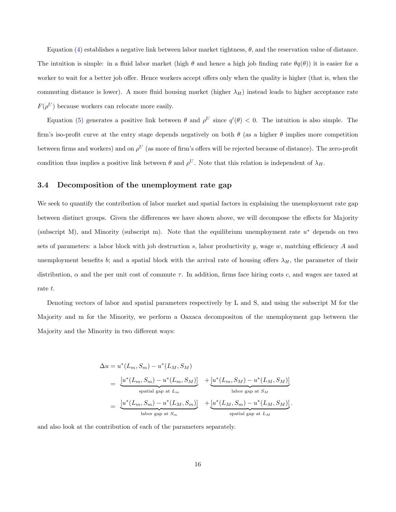Equation [\(4\)](#page-16-0) establishes a negative link between labor market tightness,  $\theta$ , and the reservation value of distance. The intuition is simple: in a fluid labor market (high  $\theta$  and hence a high job finding rate  $\theta q(\theta)$ ) it is easier for a worker to wait for a better job offer. Hence workers accept offers only when the quality is higher (that is, when the commuting distance is lower). A more fluid housing market (higher  $\lambda_H$ ) instead leads to higher acceptance rate  $F(\rho^U)$  because workers can relocate more easily.

Equation [\(5\)](#page-16-1) generates a positive link between  $\theta$  and  $\rho^U$  since  $q'(\theta) < 0$ . The intuition is also simple. The firm's iso-profit curve at the entry stage depends negatively on both  $\theta$  (as a higher  $\theta$  implies more competition between firms and workers) and on  $\rho^U$  (as more of firm's offers will be rejected because of distance). The zero-profit condition thus implies a positive link between  $\theta$  and  $\rho^U$ . Note that this relation is independent of  $\lambda_H$ .

#### <span id="page-17-0"></span>3.4 Decomposition of the unemployment rate gap

We seek to quantify the contribution of labor market and spatial factors in explaining the unemployment rate gap between distinct groups. Given the differences we have shown above, we will decompose the effects for Majority (subscript M), and Minority (subscript m). Note that the equilibrium unemployment rate u<sup>∗</sup> depends on two sets of parameters: a labor block with job destruction s, labor productivity y, wage  $w$ , matching efficiency A and unemployment benefits b; and a spatial block with the arrival rate of housing offers  $\lambda_H$ , the parameter of their distribution,  $\alpha$  and the per unit cost of commute  $\tau$ . In addition, firms face hiring costs c, and wages are taxed at rate t.

Denoting vectors of labor and spatial parameters respectively by L and S, and using the subscript M for the Majority and m for the Minority, we perform a Oaxaca decompositon of the unemployment gap between the Majority and the Minority in two different ways:

$$
\Delta u = u^*(L_m, S_m) - u^*(L_M, S_M)
$$
\n
$$
= \underbrace{[u^*(L_m, S_m) - u^*(L_m, S_M)]}_{\text{spatial gap at } L_m} + \underbrace{[u^*(L_m, S_M) - u^*(L_M, S_M)]}_{\text{labor gap at } S_M}
$$
\n
$$
= \underbrace{[u^*(L_m, S_m) - u^*(L_M, S_m)]}_{\text{labor gap at } S_m} + \underbrace{[u^*(L_M, S_m) - u^*(L_M, S_M)]}_{\text{spatial gap at } L_M}.
$$

and also look at the contribution of each of the parameters separately.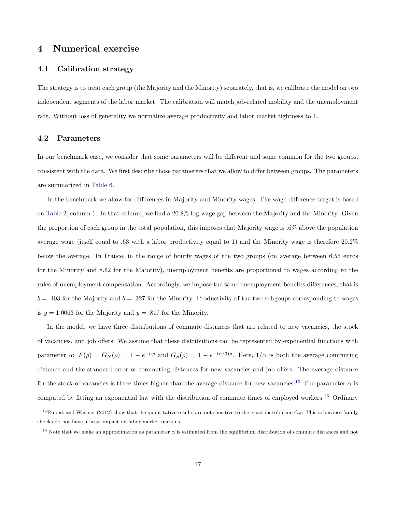#### <span id="page-18-0"></span>4 Numerical exercise

#### 4.1 Calibration strategy

The strategy is to treat each group (the Majority and the Minority) separately, that is, we calibrate the model on two independent segments of the labor market. The calibration will match job-related mobility and the unemployment rate. Without loss of generality we normalize average productivity and labor market tightness to 1.

#### 4.2 Parameters

In our benchmark case, we consider that some parameters will be different and some common for the two groups, consistent with the data. We first describe those parameters that we allow to differ between groups. The parameters are summarized in [Table 6.](#page-20-0)

In the benchmark we allow for differences in Majority and Minority wages. The wage difference target is based on [Table 2,](#page-9-0) column 1. In that column, we find a 20.8% log-wage gap between the Majority and the Minority. Given the proportion of each group in the total population, this imposes that Majority wage is .6% above the population average wage (itself equal to .63 with a labor productivity equal to 1) and the Minority wage is therefore 20.2% below the average. In France, in the range of hourly wages of the two groups (on average between 6.55 euros for the Minority and 8.62 for the Majority), unemployment benefits are proportional to wages according to the rules of unemployment compensation. Accordingly, we impose the same unemployment benefits differences, that is  $b = .403$  for the Majority and  $b = .327$  for the Minority. Productivity of the two subgoups corresponding to wages is  $y = 1.0063$  for the Majority and  $y = .817$  for the Minority.

In the model, we have three distributions of commute distances that are related to new vacancies, the stock of vacancies, and job offers. We assume that these distributions can be represented by exponential functions with parameter  $\alpha$ :  $F(\rho) = G_N(\rho) = 1 - e^{-\alpha \rho}$  and  $G_S(\rho) = 1 - e^{-(\alpha/3)\rho}$ . Here,  $1/\alpha$  is both the average commuting distance and the standard error of commuting distances for new vacancies and job offers. The average distance for the stock of vacancies is three times higher than the average distance for new vacancies.<sup>[15](#page-18-1)</sup> The parameter  $\alpha$  is computed by fitting an exponential law with the distribution of commute times of employed workers.[16](#page-18-2) Ordinary

<span id="page-18-1"></span><sup>&</sup>lt;sup>15</sup>Rupert and Wasmer (2012) show that the quantitative results are not sensitive to the exact distribution  $G_S$ . This is because family shocks do not have a large impact on labor market margins.

<span id="page-18-2"></span><sup>&</sup>lt;sup>16</sup> Note that we make an approximation as parameter  $\alpha$  is estimated from the equilibrium distribution of commute distances and not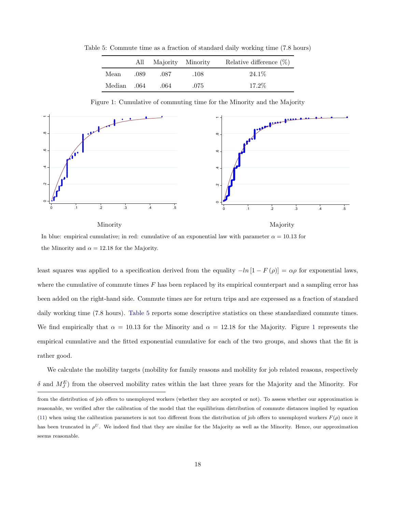Table 5: Commute time as a fraction of standard daily working time (7.8 hours)

<span id="page-19-0"></span>

|             |      | All Majority Minority |      | Relative difference (%) |
|-------------|------|-----------------------|------|-------------------------|
| Mean        | .089 | .087                  | .108 | 24.1\%                  |
| .064 Median |      | .064                  | .075 | $17.2\%$                |

<span id="page-19-1"></span>Figure 1: Cumulative of commuting time for the Minority and the Majority



In blue: empirical cumulative; in red: cumulative of an exponential law with parameter  $\alpha = 10.13$  for the Minority and  $\alpha = 12.18$  for the Majority.

least squares was applied to a specification derived from the equality  $-\ln[1 - F(\rho)] = \alpha \rho$  for exponential laws, where the cumulative of commute times  $F$  has been replaced by its empirical counterpart and a sampling error has been added on the right-hand side. Commute times are for return trips and are expressed as a fraction of standard daily working time (7.8 hours). [Table 5](#page-19-0) reports some descriptive statistics on these standardized commute times. We find empirically that  $\alpha = 10.13$  $\alpha = 10.13$  $\alpha = 10.13$  for the Minority and  $\alpha = 12.18$  for the Majority. Figure 1 represents the empirical cumulative and the fitted exponential cumulative for each of the two groups, and shows that the fit is rather good.

We calculate the mobility targets (mobility for family reasons and mobility for job related reasons, respectively  $\delta$  and  $M_J^E$ ) from the observed mobility rates within the last three years for the Majority and the Minority. For

from the distribution of job offers to unemployed workers (whether they are accepted or not). To assess whether our approximation is reasonable, we verified after the calibration of the model that the equilibrium distribution of commute distances implied by equation [\(11\)](#page-35-0) when using the calibration parameters is not too different from the distribution of job offers to unemployed workers  $F(\rho)$  once it has been truncated in  $\rho^U$ . We indeed find that they are similar for the Majority as well as the Minority. Hence, our approximation seems reasonable.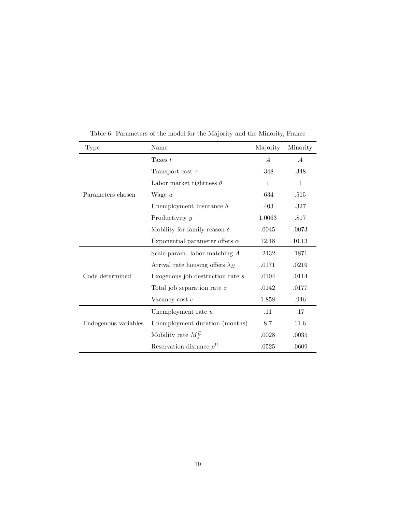| Type                 | Name                                    | Majority     | Minority  |
|----------------------|-----------------------------------------|--------------|-----------|
|                      | Taxes $t$                               | $.4\,$       | $\cdot$ 4 |
|                      | Transport cost $\tau$                   | .348         | .348      |
|                      | Labor market tightness $\theta$         | $\mathbf{1}$ | 1         |
| Parameters chosen    | Wage $w$                                | .634         | .515      |
|                      | Unemployment Insurance $b$              | .403         | .327      |
|                      | Productivity y                          | 1.0063       | .817      |
|                      | Mobility for family reason $\delta$     | .0045        | .0073     |
|                      | Exponential parameter offers $\alpha$   | 12.18        | 10.13     |
|                      | Scale param. labor matching $A$         | .2432        | .1871     |
|                      | Arrival rate housing offers $\lambda_H$ | .0171        | .0219     |
| Code determined      | Exogenous job destruction rate s        | .0104        | .0114     |
|                      | Total job separation rate $\sigma$      | .0142        | .0177     |
|                      | Vacancy cost $c$                        | 1.858        | .946      |
|                      | Unemployment rate $u$                   | .11          | .17       |
| Endogenous variables | Unemployment duration (months)          | 8.7          | 11.6      |
|                      | Mobility rate $M_I^E$                   | .0028        | .0035     |
|                      | Reservation distance $\rho^U$           | .0525        | .0609     |

<span id="page-20-0"></span>Table 6: Parameters of the model for the Majority and the Minority, France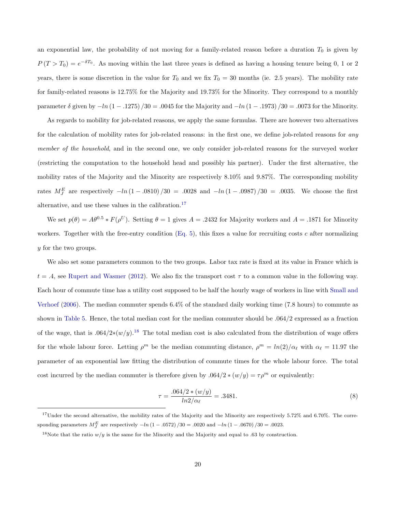an exponential law, the probability of not moving for a family-related reason before a duration  $T_0$  is given by  $P(T > T_0) = e^{-\delta T_0}$ . As moving within the last three years is defined as having a housing tenure being 0, 1 or 2 years, there is some discretion in the value for  $T_0$  and we fix  $T_0 = 30$  months (ie. 2.5 years). The mobility rate for family-related reasons is 12.75% for the Majority and 19.73% for the Minority. They correspond to a monthly parameter  $\delta$  given by  $-\ln(1-.1275)/30 = .0045$  for the Majority and  $-\ln(1-.1973)/30 = .0073$  for the Minority.

As regards to mobility for job-related reasons, we apply the same formulas. There are however two alternatives for the calculation of mobility rates for job-related reasons: in the first one, we define job-related reasons for *any member of the household*, and in the second one, we only consider job-related reasons for the surveyed worker (restricting the computation to the household head and possibly his partner). Under the first alternative, the mobility rates of the Majority and the Minority are respectively 8.10% and 9.87%. The corresponding mobility rates  $M_J^E$  are respectively  $-\ln(1-.0810)/30 = .0028$  and  $-\ln(1-.0987)/30 = .0035$ . We choose the first alternative, and use these values in the calibration.[17](#page-21-0)

We set  $p(\theta) = A\theta^{0.5} * F(\rho^U)$ . Setting  $\theta = 1$  gives  $A = .2432$  for Majority workers and  $A = .1871$  for Minority workers. Together with the free-entry condition  $(Eq. 5)$ , this fixes a value for recruiting costs c after normalizing y for the two groups.

We also set some parameters common to the two groups. Labor tax rate is fixed at its value in France which is  $t = .4$ , see [Rupert and Wasmer](#page-33-8) [\(2012\)](#page-33-8). We also fix the transport cost  $\tau$  to a common value in the following way. Each hour of commute time has a utility cost supposed to be half the hourly wage of workers in line with [Small and](#page-33-13) [Verhoef](#page-33-13) [\(2006\)](#page-33-13). The median commuter spends 6.4% of the standard daily working time (7.8 hours) to commute as shown in [Table 5.](#page-19-0) Hence, the total median cost for the median commuter should be .064/2 expressed as a fraction of the wage, that is  $.064/2*(w/y).$ <sup>[18](#page-21-1)</sup> The total median cost is also calculated from the distribution of wage offers for the whole labour force. Letting  $\rho^m$  be the median commuting distance,  $\rho^m = \ln(2)/\alpha_\ell$  with  $\alpha_\ell = 11.97$  the parameter of an exponential law fitting the distribution of commute times for the whole labour force. The total cost incurred by the median commuter is therefore given by .064/2  $*(w/y) = \tau \rho^m$  or equivalently:

<span id="page-21-2"></span>
$$
\tau = \frac{.064/2 * (w/y)}{ln2/\alpha_{\ell}} = .3481. \tag{8}
$$

<span id="page-21-0"></span> $17$ Under the second alternative, the mobility rates of the Majority and the Minority are respectively 5.72% and 6.70%. The corresponding parameters  $M_{J}^{E}$  are respectively  $-ln(1-.0572)/30 = .0020$  and  $-ln(1-.0670)/30 = .0023$ .

<span id="page-21-1"></span><sup>&</sup>lt;sup>18</sup>Note that the ratio  $w/y$  is the same for the Minority and the Majority and equal to .63 by construction.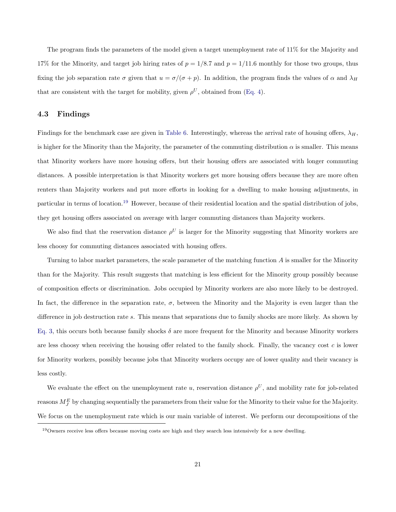The program finds the parameters of the model given a target unemployment rate of 11% for the Majority and 17% for the Minority, and target job hiring rates of  $p = 1/8.7$  and  $p = 1/11.6$  monthly for those two groups, thus fixing the job separation rate  $\sigma$  given that  $u = \sigma/(\sigma + p)$ . In addition, the program finds the values of  $\alpha$  and  $\lambda_H$ that are consistent with the target for mobility, given  $\rho^U$ , obtained from [\(Eq. 4\)](#page-16-0).

#### <span id="page-22-1"></span>4.3 Findings

Findings for the benchmark case are given in [Table 6.](#page-20-0) Interestingly, whereas the arrival rate of housing offers,  $\lambda_H$ , is higher for the Minority than the Majority, the parameter of the commuting distribution  $\alpha$  is smaller. This means that Minority workers have more housing offers, but their housing offers are associated with longer commuting distances. A possible interpretation is that Minority workers get more housing offers because they are more often renters than Majority workers and put more efforts in looking for a dwelling to make housing adjustments, in particular in terms of location.[19](#page-22-0) However, because of their residential location and the spatial distribution of jobs, they get housing offers associated on average with larger commuting distances than Majority workers.

We also find that the reservation distance  $\rho^U$  is larger for the Minority suggesting that Minority workers are less choosy for commuting distances associated with housing offers.

Turning to labor market parameters, the scale parameter of the matching function A is smaller for the Minority than for the Majority. This result suggests that matching is less efficient for the Minority group possibly because of composition effects or discrimination. Jobs occupied by Minority workers are also more likely to be destroyed. In fact, the difference in the separation rate,  $\sigma$ , between the Minority and the Majority is even larger than the difference in job destruction rate s. This means that separations due to family shocks are more likely. As shown by [Eq. 3,](#page-16-2) this occurs both because family shocks  $\delta$  are more frequent for the Minority and because Minority workers are less choosy when receiving the housing offer related to the family shock. Finally, the vacancy cost  $c$  is lower for Minority workers, possibly because jobs that Minority workers occupy are of lower quality and their vacancy is less costly.

We evaluate the effect on the unemployment rate u, reservation distance  $\rho^U$ , and mobility rate for job-related reasons  $M_J^E$  by changing sequentially the parameters from their value for the Minority to their value for the Majority. We focus on the unemployment rate which is our main variable of interest. We perform our decompositions of the

<span id="page-22-0"></span><sup>19</sup>Owners receive less offers because moving costs are high and they search less intensively for a new dwelling.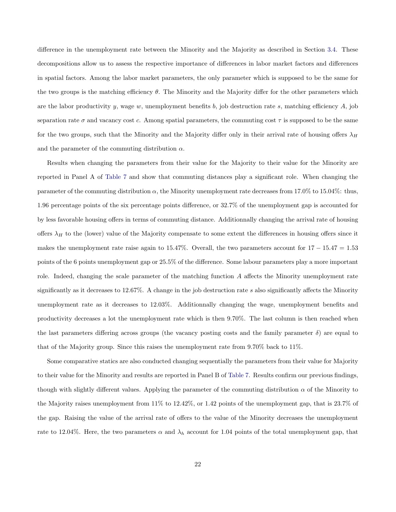difference in the unemployment rate between the Minority and the Majority as described in Section [3.4.](#page-17-0) These decompositions allow us to assess the respective importance of differences in labor market factors and differences in spatial factors. Among the labor market parameters, the only parameter which is supposed to be the same for the two groups is the matching efficiency  $\theta$ . The Minority and the Majority differ for the other parameters which are the labor productivity y, wage w, unemployment benefits b, job destruction rate s, matching efficiency  $A$ , job separation rate  $\sigma$  and vacancy cost c. Among spatial parameters, the commuting cost  $\tau$  is supposed to be the same for the two groups, such that the Minority and the Majority differ only in their arrival rate of housing offers  $\lambda_H$ and the parameter of the commuting distribution  $\alpha$ .

Results when changing the parameters from their value for the Majority to their value for the Minority are reported in Panel A of [Table 7](#page-25-0) and show that commuting distances play a significant role. When changing the parameter of the commuting distribution  $\alpha$ , the Minority unemployment rate decreases from 17.0% to 15.04%: thus, 1.96 percentage points of the six percentage points difference, or 32.7% of the unemployment gap is accounted for by less favorable housing offers in terms of commuting distance. Additionnally changing the arrival rate of housing offers  $\lambda_H$  to the (lower) value of the Majority compensate to some extent the differences in housing offers since it makes the unemployment rate raise again to 15.47%. Overall, the two parameters account for  $17 - 15.47 = 1.53$ points of the 6 points unemployment gap or 25.5% of the difference. Some labour parameters play a more important role. Indeed, changing the scale parameter of the matching function A affects the Minority unemployment rate significantly as it decreases to 12.67%. A change in the job destruction rate s also significantly affects the Minority unemployment rate as it decreases to 12.03%. Additionnally changing the wage, unemployment benefits and productivity decreases a lot the unemployment rate which is then 9.70%. The last column is then reached when the last parameters differing across groups (the vacancy posting costs and the family parameter  $\delta$ ) are equal to that of the Majority group. Since this raises the unemployment rate from 9.70% back to 11%.

Some comparative statics are also conducted changing sequentially the parameters from their value for Majority to their value for the Minority and results are reported in Panel B of [Table 7.](#page-25-0) Results confirm our previous findings, though with slightly different values. Applying the parameter of the commuting distribution  $\alpha$  of the Minority to the Majority raises unemployment from 11% to 12.42%, or 1.42 points of the unemployment gap, that is 23.7% of the gap. Raising the value of the arrival rate of offers to the value of the Minority decreases the unemployment rate to 12.04%. Here, the two parameters  $\alpha$  and  $\lambda_h$  account for 1.04 points of the total unemployment gap, that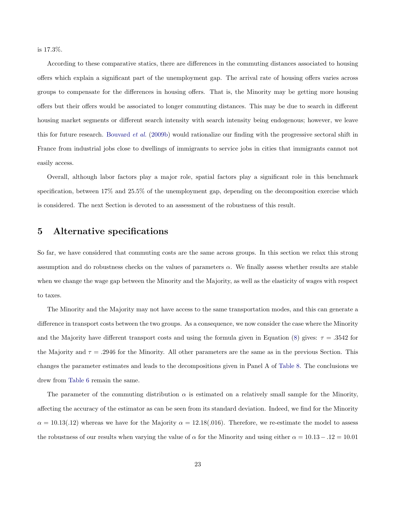is 17.3%.

According to these comparative statics, there are differences in the commuting distances associated to housing offers which explain a significant part of the unemployment gap. The arrival rate of housing offers varies across groups to compensate for the differences in housing offers. That is, the Minority may be getting more housing offers but their offers would be associated to longer commuting distances. This may be due to search in different housing market segments or different search intensity with search intensity being endogenous; however, we leave this for future research. [Bouvard](#page-32-10) *et al.* [\(2009b\)](#page-32-10) would rationalize our finding with the progressive sectoral shift in France from industrial jobs close to dwellings of immigrants to service jobs in cities that immigrants cannot not easily access.

Overall, although labor factors play a major role, spatial factors play a significant role in this benchmark specification, between 17% and 25.5% of the unemployment gap, depending on the decomposition exercise which is considered. The next Section is devoted to an assessment of the robustness of this result.

## <span id="page-24-0"></span>5 Alternative specifications

So far, we have considered that commuting costs are the same across groups. In this section we relax this strong assumption and do robustness checks on the values of parameters  $\alpha$ . We finally assess whether results are stable when we change the wage gap between the Minority and the Majority, as well as the elasticity of wages with respect to taxes.

The Minority and the Majority may not have access to the same transportation modes, and this can generate a difference in transport costs between the two groups. As a consequence, we now consider the case where the Minority and the Majority have different transport costs and using the formula given in Equation [\(8\)](#page-21-2) gives:  $\tau = .3542$  for the Majority and  $\tau = .2946$  for the Minority. All other parameters are the same as in the previous Section. This changes the parameter estimates and leads to the decompositions given in Panel A of [Table 8.](#page-26-0) The conclusions we drew from [Table 6](#page-20-0) remain the same.

The parameter of the commuting distribution  $\alpha$  is estimated on a relatively small sample for the Minority, affecting the accuracy of the estimator as can be seen from its standard deviation. Indeed, we find for the Minority  $\alpha = 10.13(.12)$  whereas we have for the Majority  $\alpha = 12.18(.016)$ . Therefore, we re-estimate the model to assess the robustness of our results when varying the value of  $\alpha$  for the Minority and using either  $\alpha = 10.13 - 0.12 = 10.01$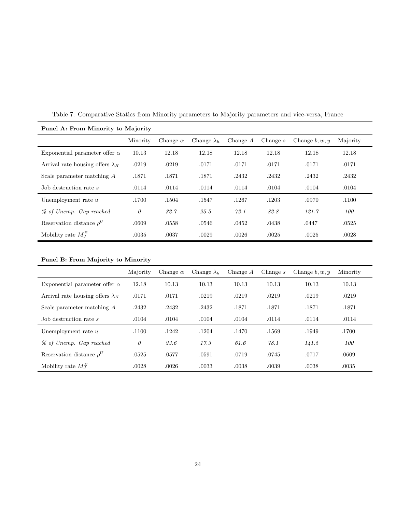| Panel A: From Minority to Majority      |          |                 |                    |            |            |                  |          |  |  |
|-----------------------------------------|----------|-----------------|--------------------|------------|------------|------------------|----------|--|--|
|                                         | Minority | Change $\alpha$ | Change $\lambda_h$ | Change $A$ | Change $s$ | Change $b, w, y$ | Majority |  |  |
| Exponential parameter offer $\alpha$    | 10.13    | 12.18           | 12.18              | 12.18      | 12.18      | 12.18            | 12.18    |  |  |
| Arrival rate housing offers $\lambda_H$ | .0219    | .0219           | .0171              | .0171      | .0171      | .0171            | .0171    |  |  |
| Scale parameter matching $A$            | .1871    | .1871           | .1871              | .2432      | .2432      | .2432            | .2432    |  |  |
| Job destruction rate s                  | .0114    | .0114           | .0114              | .0114      | .0104      | .0104            | .0104    |  |  |
| Unemployment rate $u$                   | .1700    | .1504           | .1547              | .1267      | .1203      | .0970            | .1100    |  |  |
| % of Unemp. Gap reached                 | 0        | 32.7            | 25.5               | 72.1       | 82.8       | 121.7            | 100      |  |  |
| Reservation distance $\rho^U$           | .0609    | .0558           | .0546              | .0452      | .0438      | .0447            | .0525    |  |  |
| Mobility rate $M_I^E$                   | .0035    | .0037           | .0029              | .0026      | .0025      | .0025            | .0028    |  |  |

<span id="page-25-0"></span>Table 7: Comparative Statics from Minority parameters to Majority parameters and vice-versa, France

|                                         | Majority | Change $\alpha$ | Change $\lambda_h$ | Change $A$ | Change $s$ | Change $b, w, y$ | Minority |
|-----------------------------------------|----------|-----------------|--------------------|------------|------------|------------------|----------|
| Exponential parameter offer $\alpha$    | 12.18    | 10.13           | 10.13              | 10.13      | 10.13      | 10.13            | 10.13    |
| Arrival rate housing offers $\lambda_H$ | .0171    | .0171           | .0219              | .0219      | .0219      | .0219            | .0219    |
| Scale parameter matching A              | .2432    | .2432           | .2432              | .1871      | .1871      | .1871            | .1871    |
| Job destruction rate s                  | .0104    | .0104           | .0104              | .0104      | .0114      | .0114            | .0114    |
| Unemployment rate $u$                   | .1100    | .1242           | .1204              | .1470      | .1569      | .1949            | .1700    |
| % of Unemp. Gap reached                 | $\theta$ | 23.6            | 17.3               | 61.6       | 78.1       | 141.5            | 100      |
| Reservation distance $\rho^U$           | .0525    | .0577           | .0591              | .0719      | .0745      | .0717            | .0609    |
| Mobility rate $M_I^E$                   | .0028    | .0026           | .0033              | .0038      | .0039      | .0038            | .0035    |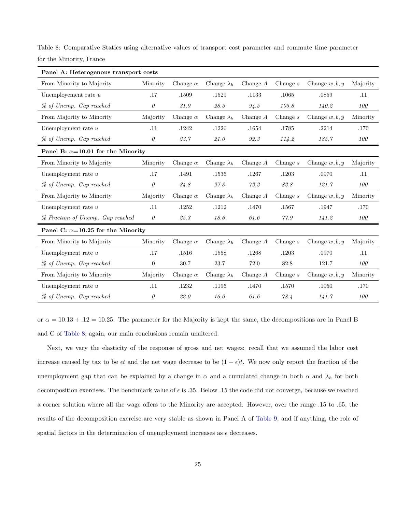| Panel A: Heterogenous transport costs     |                |                 |                                      |            |            |                  |          |  |
|-------------------------------------------|----------------|-----------------|--------------------------------------|------------|------------|------------------|----------|--|
| From Minority to Majority                 | Minority       | Change $\alpha$ | Change $\lambda_h$                   | Change $A$ | Change $s$ | Change $w, b, y$ | Majority |  |
| Unemployement rate $u$                    | .17            | .1509           | .1529                                | .1133      | .1065      | .0859            | .11      |  |
| % of Unemp. Gap reached                   | $\theta$       | 31.9            | 28.5                                 | 94.5       | 105.8      | 140.2            | 100      |  |
| From Majority to Minority                 | Majority       | Change $\alpha$ | Change $\lambda_h$                   | Change $A$ | Change $s$ | Change $w, b, y$ | Minority |  |
| Unemployment rate $u$                     | .11            | .1242           | .1226                                | .1654      | .1785      | .2214            | .170     |  |
| % of Unemp. Gap reached                   | $\theta$       | 23.7            | 21.0                                 | 92.3       | 114.2      | 185.7            | 100      |  |
| Panel B: $\alpha$ =10.01 for the Minority |                |                 |                                      |            |            |                  |          |  |
| From Minority to Majority                 | Minority       | Change $\alpha$ | Change $\lambda_h$                   | Change $A$ | Change $s$ | Change $w, b, y$ | Majority |  |
| Unemployment rate $u$                     | .17            | .1491           | .1536                                | .1267      | .1203      | .0970            | .11      |  |
| % of Unemp. Gap reached                   | $\theta$       | 34.8            | $\mathcal{Z}\mathcal{V}.\mathcal{Z}$ | 72.2       | 82.8       | 121.7            | 100      |  |
| From Majority to Minority                 | Majority       | Change $\alpha$ | Change $\lambda_h$                   | Change $A$ | Change $s$ | Change $w, b, y$ | Minority |  |
| Unemployment rate $u$                     | .11            | .1252           | .1212                                | .1470      | .1567      | .1947            | .170     |  |
| % Fraction of Unemp. Gap reached          | $\theta$       | 25.3            | 18.6                                 | 61.6       | 77.9       | 141.2            | 100      |  |
| Panel C: $\alpha$ =10.25 for the Minority |                |                 |                                      |            |            |                  |          |  |
| From Minority to Majority                 | Minority       | Change $\alpha$ | Change $\lambda_h$                   | Change $A$ | Change $s$ | Change $w, b, y$ | Majority |  |
| Unemployment rate $u$                     | .17            | .1516           | .1558                                | .1268      | .1203      | .0970            | .11      |  |
| % of Unemp. Gap reached                   | $\overline{0}$ | 30.7            | 23.7                                 | 72.0       | 82.8       | 121.7            | 100      |  |
| From Majority to Minority                 | Majority       | Change $\alpha$ | Change $\lambda_h$                   | Change $A$ | Change $s$ | Change $w, b, y$ | Minority |  |
| Unemployment rate $u$                     | .11            | .1232           | .1196                                | .1470      | .1570      | .1950            | .170     |  |
| % of Unemp. Gap reached                   | $\theta$       | 22.0            | 16.0                                 | 61.6       | 78.4       | 141.7            | 100      |  |

<span id="page-26-0"></span>Table 8: Comparative Statics using alternative values of transport cost parameter and commute time parameter for the Minority, France

or  $\alpha = 10.13 + .12 = 10.25$ . The parameter for the Majority is kept the same, the decompositions are in Panel B and C of [Table 8;](#page-26-0) again, our main conclusions remain unaltered.

Next, we vary the elasticity of the response of gross and net wages: recall that we assumed the labor cost increase caused by tax to be  $\epsilon t$  and the net wage decrease to be  $(1 - \epsilon)t$ . We now only report the fraction of the unemployment gap that can be explained by a change in  $\alpha$  and a cumulated change in both  $\alpha$  and  $\lambda_h$  for both decomposition exercises. The benchmark value of  $\epsilon$  is .35. Below .15 the code did not converge, because we reached a corner solution where all the wage offers to the Minority are accepted. However, over the range .15 to .65, the results of the decomposition exercise are very stable as shown in Panel A of [Table 9,](#page-27-0) and if anything, the role of spatial factors in the determination of unemployment increases as  $\epsilon$  decreases.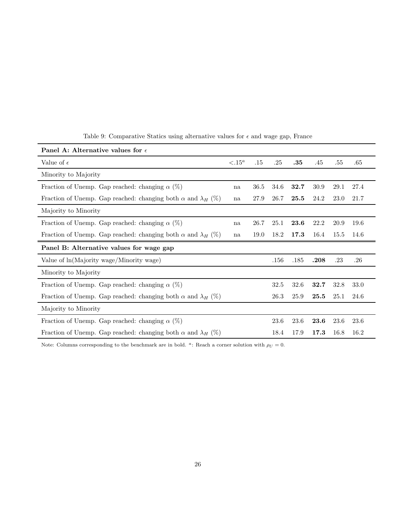| Panel A: Alternative values for $\epsilon$                                 |                 |         |      |         |      |      |         |  |
|----------------------------------------------------------------------------|-----------------|---------|------|---------|------|------|---------|--|
| Value of $\epsilon$                                                        | $\langle .15^a$ | $.15\,$ | .25  | $.35\,$ | .45  | .55  | .65     |  |
| Minority to Majority                                                       |                 |         |      |         |      |      |         |  |
| Fraction of Unemp. Gap reached: changing $\alpha$ (%)                      | na              | 36.5    | 34.6 | 32.7    | 30.9 | 29.1 | 27.4    |  |
| Fraction of Unemp. Gap reached: changing both $\alpha$ and $\lambda_H$ (%) | na              | 27.9    | 26.7 | 25.5    | 24.2 | 23.0 | 21.7    |  |
| Majority to Minority                                                       |                 |         |      |         |      |      |         |  |
| Fraction of Unemp. Gap reached: changing $\alpha$ (%)                      | na              | 26.7    | 25.1 | 23.6    | 22.2 | 20.9 | 19.6    |  |
| Fraction of Unemp. Gap reached: changing both $\alpha$ and $\lambda_H$ (%) | na              | 19.0    | 18.2 | 17.3    | 16.4 | 15.5 | 14.6    |  |
| Panel B: Alternative values for wage gap                                   |                 |         |      |         |      |      |         |  |
|                                                                            |                 |         |      |         |      |      |         |  |
| Value of $ln(Majority wage/Minority wage)$                                 |                 |         | .156 | .185    | .208 | .23  | $.26\,$ |  |
| Minority to Majority                                                       |                 |         |      |         |      |      |         |  |
| Fraction of Unemp. Gap reached: changing $\alpha$ (%)                      |                 |         | 32.5 | 32.6    | 32.7 | 32.8 | 33.0    |  |
| Fraction of Unemp. Gap reached: changing both $\alpha$ and $\lambda_H$ (%) |                 |         | 26.3 | 25.9    | 25.5 | 25.1 | 24.6    |  |
| Majority to Minority                                                       |                 |         |      |         |      |      |         |  |
| Fraction of Unemp. Gap reached: changing $\alpha$ (%)                      |                 |         | 23.6 | 23.6    | 23.6 | 23.6 | 23.6    |  |

<span id="page-27-0"></span>Table 9: Comparative Statics using alternative values for  $\epsilon$  and wage gap, France

Note: Columns corresponding to the benchmark are in bold. <sup>a</sup>: Reach a corner solution with  $\rho_U = 0$ .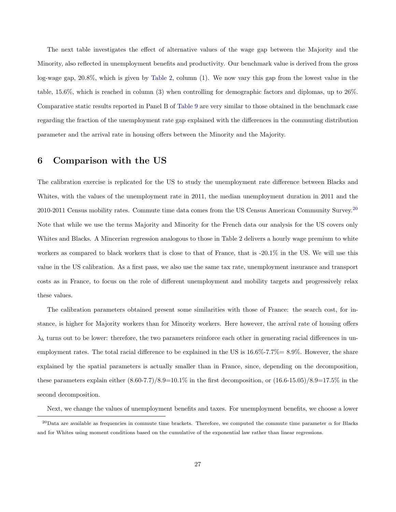The next table investigates the effect of alternative values of the wage gap between the Majority and the Minority, also reflected in unemployment benefits and productivity. Our benchmark value is derived from the gross log-wage gap, 20.8%, which is given by [Table 2,](#page-9-0) column (1). We now vary this gap from the lowest value in the table, 15.6%, which is reached in column (3) when controlling for demographic factors and diplomas, up to 26%. Comparative static results reported in Panel B of [Table 9](#page-27-0) are very similar to those obtained in the benchmark case regarding the fraction of the unemployment rate gap explained with the differences in the commuting distribution parameter and the arrival rate in housing offers between the Minority and the Majority.

### <span id="page-28-0"></span>6 Comparison with the US

The calibration exercise is replicated for the US to study the unemployment rate difference between Blacks and Whites, with the values of the unemployment rate in 2011, the median unemployment duration in 2011 and the [20](#page-28-1)10-2011 Census mobility rates. Commute time data comes from the US Census American Community Survey.<sup>20</sup> Note that while we use the terms Majority and Minority for the French data our analysis for the US covers only Whites and Blacks. A Mincerian regression analogous to those in Table 2 delivers a hourly wage premium to white workers as compared to black workers that is close to that of France, that is -20.1% in the US. We will use this value in the US calibration. As a first pass, we also use the same tax rate, unemployment insurance and transport costs as in France, to focus on the role of different unemployment and mobility targets and progressively relax these values.

The calibration parameters obtained present some similarities with those of France: the search cost, for instance, is higher for Majority workers than for Minority workers. Here however, the arrival rate of housing offers  $\lambda_h$  turns out to be lower: therefore, the two parameters reinforce each other in generating racial differences in unemployment rates. The total racial difference to be explained in the US is 16.6%-7.7%= 8.9%. However, the share explained by the spatial parameters is actually smaller than in France, since, depending on the decomposition, these parameters explain either  $(8.60-7.7)/8.9=10.1\%$  in the first decomposition, or  $(16.6-15.05)/8.9=17.5\%$  in the second decomposition.

<span id="page-28-1"></span>Next, we change the values of unemployment benefits and taxes. For unemployment benefits, we choose a lower

<sup>&</sup>lt;sup>20</sup>Data are available as frequencies in commute time brackets. Therefore, we computed the commute time parameter  $\alpha$  for Blacks and for Whites using moment conditions based on the cumulative of the exponential law rather than linear regressions.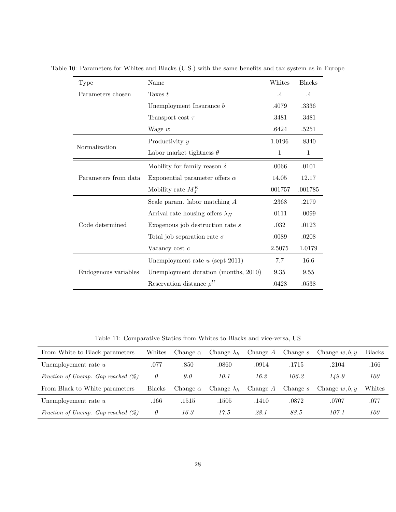| Type                 | Name                                    | Whites       | <b>Blacks</b> |
|----------------------|-----------------------------------------|--------------|---------------|
| Parameters chosen    | Taxes $t$                               | $\cdot$ 4    | .4            |
|                      | Unemployment Insurance $b$              | .4079        | .3336         |
|                      | Transport cost $\tau$                   | .3481        | .3481         |
|                      | Wage $w$                                | .6424        | .5251         |
| Productivity y       |                                         | 1.0196       | .8340         |
| Normalization        | Labor market tightness $\theta$         | $\mathbf{1}$ | $\mathbf{1}$  |
|                      | Mobility for family reason $\delta$     | .0066        | .0101         |
| Parameters from data | Exponential parameter offers $\alpha$   | 14.05        | 12.17         |
|                      | Mobility rate $M_I^E$                   | .001757      | .001785       |
| Code determined      | Scale param. labor matching $A$         | .2368        | .2179         |
|                      | Arrival rate housing offers $\lambda_H$ | .0111        | .0099         |
|                      | Exogenous job destruction rate $s$      | .032         | .0123         |
|                      | Total job separation rate $\sigma$      | .0089        | .0208         |
|                      | Vacancy cost $c$                        | 2.5075       | 1.0179        |
|                      | Unemployment rate $u$ (sept 2011)       | 7.7          | 16.6          |
| Endogenous variables | Unemployment duration (months, 2010)    | 9.35         | 9.55          |
|                      | Reservation distance $\rho^U$           | .0428        | .0538         |

Table 10: Parameters for Whites and Blacks (U.S.) with the same benefits and tax system as in Europe

Table 11: Comparative Statics from Whites to Blacks and vice-versa, US

| From White to Black parameters        | Whites        | Change $\alpha$ | Change $\lambda_h$ | Change $A$ | Change $s$ | Change $w, b, y$ | <b>Blacks</b> |
|---------------------------------------|---------------|-----------------|--------------------|------------|------------|------------------|---------------|
| Unemployement rate $u$                | .077          | .850            | .0860              | .0914      | .1715      | .2104            | .166          |
| Fraction of Unemp. Gap reached $(\%)$ | $\theta$      | 9.0             | 10.1               | 16.2       | 106.2      | 149.9            | <i>100</i>    |
|                                       |               |                 |                    |            |            |                  |               |
| From Black to White parameters        | <b>Blacks</b> | Change $\alpha$ | Change $\lambda_h$ | Change $A$ | Change s   | Change $w, b, y$ | Whites        |
| Unemployement rate $u$                | .166          | .1515           | .1505              | .1410      | .0872      | .0707            | .077          |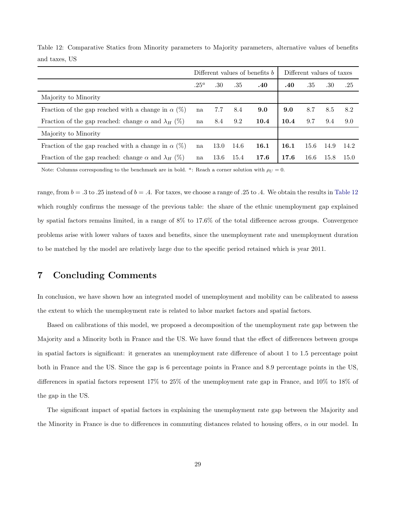|                                                                  | Different values of benefits b |      |      |      | Different values of taxes |      |      |      |
|------------------------------------------------------------------|--------------------------------|------|------|------|---------------------------|------|------|------|
|                                                                  | $.25^a$                        | .30  | .35  | .40  | .40                       | .35  | .30  | .25  |
| Majority to Minority                                             |                                |      |      |      |                           |      |      |      |
| Fraction of the gap reached with a change in $\alpha$ (%)        | na                             | 7.7  | 8.4  | 9.0  | 9.0                       | 8.7  | 8.5  | 8.2  |
| Fraction of the gap reached: change $\alpha$ and $\lambda_H$ (%) | na                             | 8.4  | 9.2  | 10.4 | 10.4                      | 9.7  | 9.4  | 9.0  |
| Majority to Minority                                             |                                |      |      |      |                           |      |      |      |
| Fraction of the gap reached with a change in $\alpha$ (%)        | na                             | 13.0 | 14.6 | 16.1 | 16.1                      | 15.6 | 14.9 | 14.2 |
| Fraction of the gap reached: change $\alpha$ and $\lambda_H$ (%) | na                             | 13.6 | 15.4 | 17.6 | 17.6                      | 16.6 | 15.8 | 15.0 |

<span id="page-30-1"></span>Table 12: Comparative Statics from Minority parameters to Majority parameters, alternative values of benefits and taxes, US

Note: Columns corresponding to the benchmark are in bold. <sup>*a*</sup>: Reach a corner solution with  $\rho_U = 0$ .

range, from  $b = .3$  to  $.25$  instead of  $b = .4$ . For taxes, we choose a range of  $.25$  to  $.4$ . We obtain the results in [Table 12](#page-30-1) which roughly confirms the message of the previous table: the share of the ethnic unemployment gap explained by spatial factors remains limited, in a range of 8% to 17.6% of the total difference across groups. Convergence problems arise with lower values of taxes and benefits, since the unemployment rate and unemployment duration to be matched by the model are relatively large due to the specific period retained which is year 2011.

## <span id="page-30-0"></span>7 Concluding Comments

In conclusion, we have shown how an integrated model of unemployment and mobility can be calibrated to assess the extent to which the unemployment rate is related to labor market factors and spatial factors.

Based on calibrations of this model, we proposed a decomposition of the unemployment rate gap between the Majority and a Minority both in France and the US. We have found that the effect of differences between groups in spatial factors is significant: it generates an unemployment rate difference of about 1 to 1.5 percentage point both in France and the US. Since the gap is 6 percentage points in France and 8.9 percentage points in the US, differences in spatial factors represent 17% to 25% of the unemployment rate gap in France, and 10% to 18% of the gap in the US.

The significant impact of spatial factors in explaining the unemployment rate gap between the Majority and the Minority in France is due to differences in commuting distances related to housing offers,  $\alpha$  in our model. In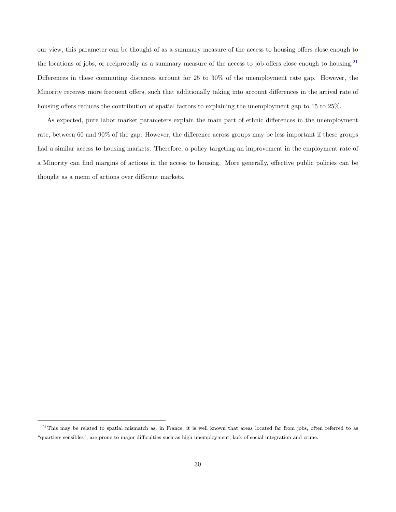our view, this parameter can be thought of as a summary measure of the access to housing offers close enough to the locations of jobs, or reciprocally as a summary measure of the access to job offers close enough to housing.<sup>[21](#page-31-0)</sup> Differences in these commuting distances account for 25 to 30% of the unemployment rate gap. However, the Minority receives more frequent offers, such that additionally taking into account differences in the arrival rate of housing offers reduces the contribution of spatial factors to explaining the unemployment gap to 15 to 25%.

As expected, pure labor market parameters explain the main part of ethnic differences in the unemployment rate, between 60 and 90% of the gap. However, the difference across groups may be less important if these groups had a similar access to housing markets. Therefore, a policy targeting an improvement in the employment rate of a Minority can find margins of actions in the access to housing. More generally, effective public policies can be thought as a menu of actions over different markets.

<span id="page-31-0"></span><sup>&</sup>lt;sup>21</sup>This may be related to spatial mismatch as, in France, it is well known that areas located far from jobs, often referred to as "quartiers sensibles", are prone to major difficulties such as high unemployment, lack of social integration and crime.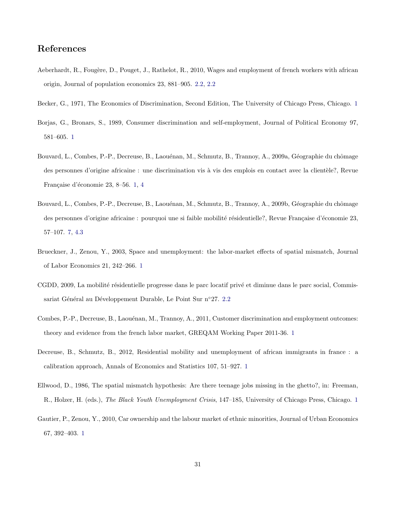## References

- <span id="page-32-8"></span>Aeberhardt, R., Fougère, D., Pouget, J., Rathelot, R., 2010, Wages and employment of french workers with african origin, Journal of population economics 23, 881–905. [2.2,](#page-7-1) [2.2](#page-8-0)
- <span id="page-32-2"></span><span id="page-32-1"></span>Becker, G., 1971, The Economics of Discrimination, Second Edition, The University of Chicago Press, Chicago. [1](#page-3-1)
- Borjas, G., Bronars, S., 1989, Consumer discrimination and self-employment, Journal of Political Economy 97, 581–605. [1](#page-3-1)
- <span id="page-32-7"></span>Bouvard, L., Combes, P.-P., Decreuse, B., Laouénan, M., Schmutz, B., Trannoy, A., 2009a, Géographie du chômage des personnes d'origine africaine : une discrimination vis à vis des emplois en contact avec la clientèle?, Revue Française d'économie 23, 8-56. [1,](#page-3-1) [4](#page-5-1)
- <span id="page-32-10"></span>Bouvard, L., Combes, P.-P., Decreuse, B., Laouénan, M., Schmutz, B., Trannoy, A., 2009b, Géographie du chômage des personnes d'origine africaine : pourquoi une si faible mobilité résidentielle?, Revue Française d'économie 23, 57–107. [7,](#page-10-0) [4.3](#page-22-1)
- <span id="page-32-4"></span>Brueckner, J., Zenou, Y., 2003, Space and unemployment: the labor-market effects of spatial mismatch, Journal of Labor Economics 21, 242–266. [1](#page-3-1)
- <span id="page-32-9"></span>CGDD, 2009, La mobilité résidentielle progresse dans le parc locatif privé et diminue dans le parc social, Commis-sariat Général au Développement Durable, Le Point Sur n°27. [2.2](#page-9-0)
- <span id="page-32-3"></span>Combes, P.-P., Decreuse, B., Laouénan, M., Trannoy, A., 2011, Customer discrimination and employment outcomes: theory and evidence from the french labor market, GREQAM Working Paper 2011-36. [1](#page-3-1)
- <span id="page-32-6"></span>Decreuse, B., Schmutz, B., 2012, Residential mobility and unemployment of african immigrants in france : a calibration approach, Annals of Economics and Statistics 107, 51–927. [1](#page-3-1)
- <span id="page-32-0"></span>Ellwood, D., 1986, The spatial mismatch hypothesis: Are there teenage jobs missing in the ghetto?, in: Freeman, R., Holzer, H. (eds.), *The Black Youth Unemployment Crisis*, 147–185, University of Chicago Press, Chicago. [1](#page-3-1)
- <span id="page-32-5"></span>Gautier, P., Zenou, Y., 2010, Car ownership and the labour market of ethnic minorities, Journal of Urban Economics 67, 392–403. [1](#page-3-1)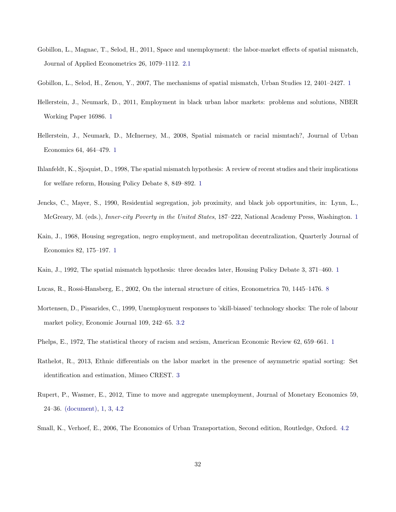<span id="page-33-10"></span>Gobillon, L., Magnac, T., Selod, H., 2011, Space and unemployment: the labor-market effects of spatial mismatch, Journal of Applied Econometrics 26, 1079–1112. [2.1](#page-6-1)

<span id="page-33-6"></span>Gobillon, L., Selod, H., Zenou, Y., 2007, The mechanisms of spatial mismatch, Urban Studies 12, 2401–2427. [1](#page-3-0)

- <span id="page-33-5"></span>Hellerstein, J., Neumark, D., 2011, Employment in black urban labor markets: problems and solutions, NBER Working Paper 16986. [1](#page-3-0)
- <span id="page-33-7"></span>Hellerstein, J., Neumark, D., McInerney, M., 2008, Spatial mismatch or racial mismtach?, Journal of Urban Economics 64, 464–479. [1](#page-3-1)
- <span id="page-33-4"></span>Ihlanfeldt, K., Sjoquist, D., 1998, The spatial mismatch hypothesis: A review of recent studies and their implications for welfare reform, Housing Policy Debate 8, 849–892. [1](#page-3-0)
- <span id="page-33-2"></span>Jencks, C., Mayer, S., 1990, Residential segregation, job proximity, and black job opportunities, in: Lynn, L., McGreary, M. (eds.), *Inner-city Poverty in the United States*, 187–222, National Academy Press, Washington. [1](#page-3-0)
- <span id="page-33-0"></span>Kain, J., 1968, Housing segregation, negro employment, and metropolitan decentralization, Quarterly Journal of Economics 82, 175–197. [1](#page-3-1)
- <span id="page-33-11"></span><span id="page-33-3"></span>Kain, J., 1992, The spatial mismatch hypothesis: three decades later, Housing Policy Debate 3, 371–460. [1](#page-3-0)
- Lucas, R., Rossi-Hansberg, E., 2002, On the internal structure of cities, Econometrica 70, 1445–1476. [8](#page-13-1)
- <span id="page-33-12"></span>Mortensen, D., Pissarides, C., 1999, Unemployment responses to 'skill-biased' technology shocks: The role of labour market policy, Economic Journal 109, 242–65. [3.2](#page-14-3)
- <span id="page-33-1"></span>Phelps, E., 1972, The statistical theory of racism and sexism, American Economic Review 62, 659–661. [1](#page-3-1)
- <span id="page-33-9"></span>Rathelot, R., 2013, Ethnic differentials on the labor market in the presence of asymmetric spatial sorting: Set identification and estimation, Mimeo CREST. [3](#page-5-0)
- <span id="page-33-8"></span>Rupert, P., Wasmer, E., 2012, Time to move and aggregate unemployment, Journal of Monetary Economics 59, 24–36. (document), [1,](#page-3-1) [3,](#page-12-0) [4.2](#page-20-0)

<span id="page-33-13"></span>Small, K., Verhoef, E., 2006, The Economics of Urban Transportation, Second edition, Routledge, Oxford. [4.2](#page-20-0)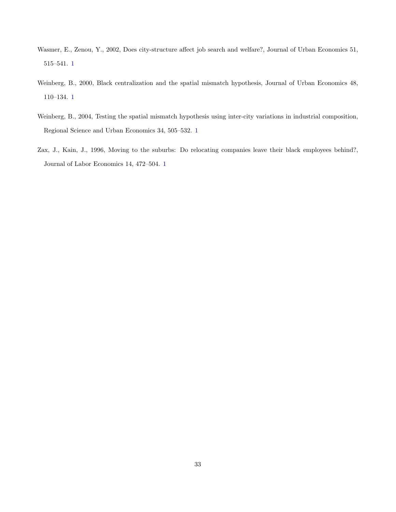- <span id="page-34-1"></span>Wasmer, E., Zenou, Y., 2002, Does city-structure affect job search and welfare?, Journal of Urban Economics 51, 515–541. [1](#page-3-1)
- <span id="page-34-2"></span>Weinberg, B., 2000, Black centralization and the spatial mismatch hypothesis, Journal of Urban Economics 48, 110–134. [1](#page-3-1)
- <span id="page-34-3"></span>Weinberg, B., 2004, Testing the spatial mismatch hypothesis using inter-city variations in industrial composition, Regional Science and Urban Economics 34, 505–532. [1](#page-3-1)
- <span id="page-34-0"></span>Zax, J., Kain, J., 1996, Moving to the suburbs: Do relocating companies leave their black employees behind?, Journal of Labor Economics 14, 472–504. [1](#page-3-1)